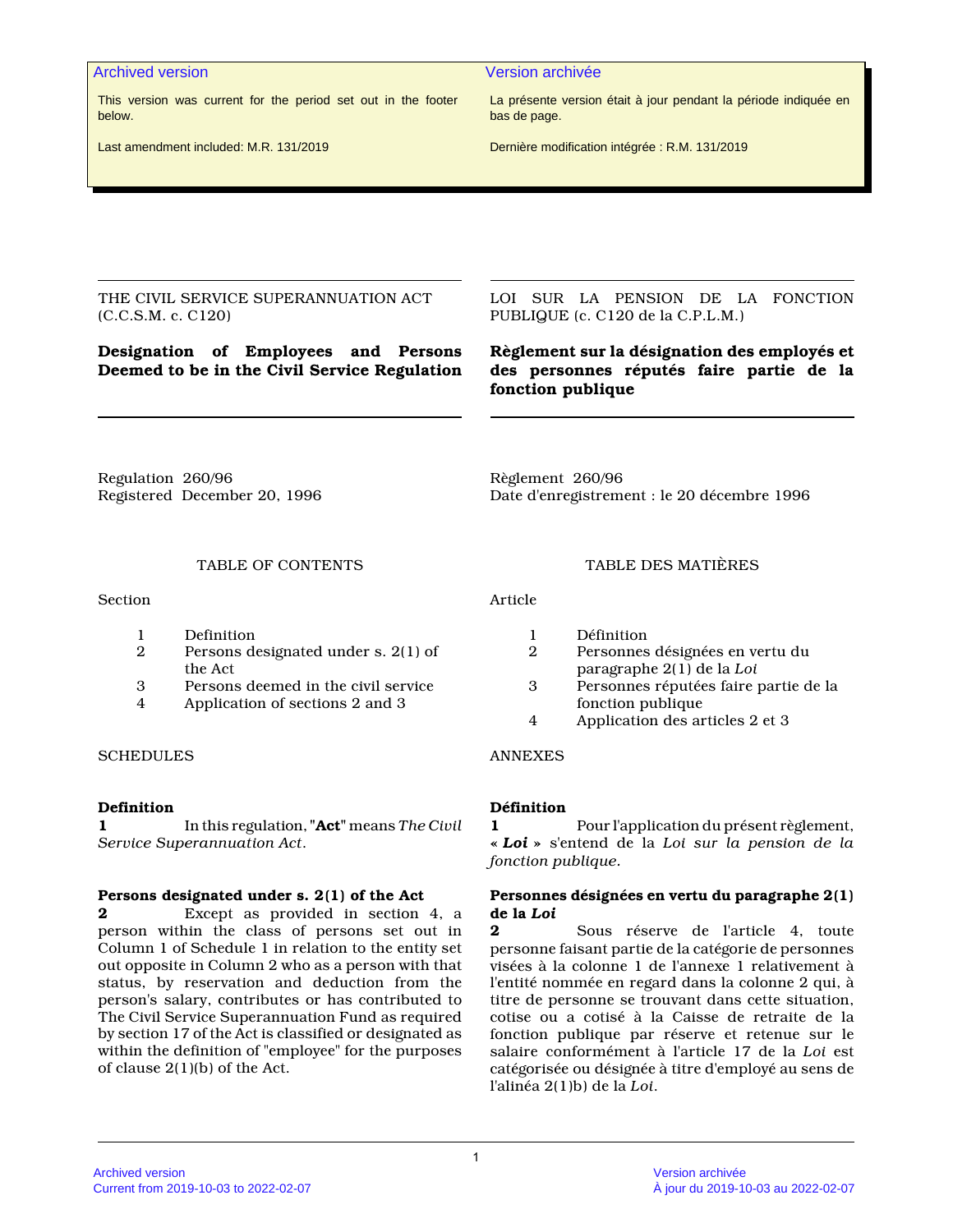This version was current for the period set out in the footer below.

Last amendment included: M.R. 131/2019

Archived version Version archivée

La présente version était à jour pendant la période indiquée en bas de page.

Dernière modification intégrée : R.M. 131/2019

THE CIVIL SERVICE SUPERANNUATION ACT (C.C.S.M. c. C120)

# **Designation of Employees and Persons Deemed to be in the Civil Service Regulation**

LOI SUR LA PENSION DE LA FONCTION PUBLIQUE (c. C120 de la C.P.L.M.)

# **Règlement sur la désignation des employés et des personnes réputés faire partie de la fonction publique**

Regulation 260/96 Registered December 20, 1996 Règlement 260/96 Date d'enregistrement : le 20 décembre 1996

## TABLE OF CONTENTS TABLE DES MATIÈRES

Section **Article** 

- 1 Definition
- 2 Persons designated under s. 2(1) of the Act
- 3 Persons deemed in the civil service<br>4 Application of sections 2 and 3
- 4 Application of sections 2 and 3

## SCHEDULES ANNEXES

### **Definition**

**1** In this regulation, **"Act"** means *The Civil Service Superannuation Act*.

### **Persons designated under s. 2(1) of the Act**

**2** Except as provided in section 4, a person within the class of persons set out in Column 1 of Schedule 1 in relation to the entity set out opposite in Column 2 who as a person with that status, by reservation and deduction from the person's salary, contributes or has contributed to The Civil Service Superannuation Fund as required by section 17 of the Act is classified or designated as within the definition of "employee" for the purposes of clause 2(1)(b) of the Act.

- 1 Définition<br>2 Personnes
- 2 Personnes désignées en vertu du paragraphe 2(1) de la *Loi*
- 3 Personnes réputées faire partie de la fonction publique
- 4 Application des articles 2 et 3

## **Définition**

**1** Pour l'application du présent règlement, **«** *Loi* **»** s'entend de la *Loi sur la pension de la fonction publique.*

### **Personnes désignées en vertu du paragraphe 2(1) de la** *Loi*

**2** Sous réserve de l'article 4, toute personne faisant partie de la catégorie de personnes visées à la colonne 1 de l'annexe 1 relativement à l'entité nommée en regard dans la colonne 2 qui, à titre de personne se trouvant dans cette situation, cotise ou a cotisé à la Caisse de retraite de la fonction publique par réserve et retenue sur le salaire conformément à l'article 17 de la *Loi* est catégorisée ou désignée à titre d'employé au sens de l'alinéa 2(1)b) de la *Loi*.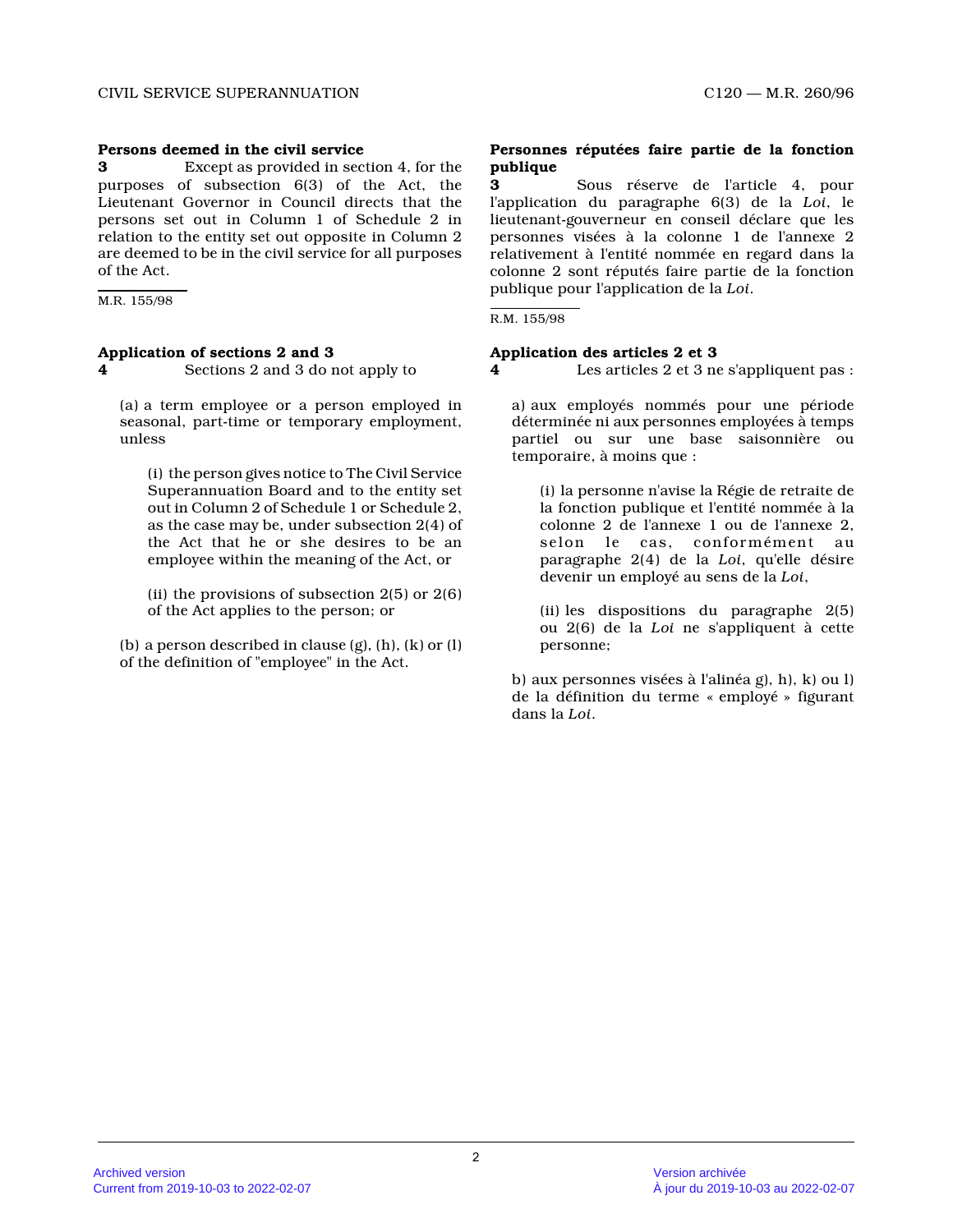## **Persons deemed in the civil service**

**3** Except as provided in section 4, for the purposes of subsection 6(3) of the Act, the Lieutenant Governor in Council directs that the persons set out in Column 1 of Schedule 2 in relation to the entity set out opposite in Column 2 are deemed to be in the civil service for all purposes of the Act.

M.R. 155/98

## **Application of sections 2 and 3**

**4** Sections 2 and 3 do not apply to

(a) a term employee or a person employed in seasonal, part-time or temporary employment, unless

(i) the person gives notice to The Civil Service Superannuation Board and to the entity set out in Column 2 of Schedule 1 or Schedule 2, as the case may be, under subsection 2(4) of the Act that he or she desires to be an employee within the meaning of the Act, or

(ii) the provisions of subsection 2(5) or 2(6) of the Act applies to the person; or

(b) a person described in clause (g), (h), (k) or (l ) of the definition of "employee" in the Act.

### **Personnes réputées faire partie de la fonction publique**

**3** Sous réserve de l'article 4, pour l'application du paragraphe 6(3) de la *Loi*, le lieutenant-gouverneur en conseil déclare que les personnes visées à la colonne 1 de l'annexe 2 relativement à l'entité nommée en regard dans la colonne 2 sont réputés faire partie de la fonction publique pour l'application de la *Loi* .

R.M. 155/98

### **Application des articles 2 et 3**

**4** Les articles 2 et 3 ne s'appliquent pas :

a) aux employés nommés pour une période déterminée ni aux personnes employées à temps partiel ou sur une base saisonnière ou temporaire, à moins que :

(i) la personne n'avise la Régie de retraite de la fonction publique et l'entité nommée à la colonne 2 de l'annexe 1 ou de l'annexe 2, selon le cas, conformément au paragraphe 2(4) de la *Loi*, qu'elle désire devenir un employé au sens de la *Loi* ,

(ii) les dispositions du paragraphe 2(5) ou 2(6) de la *Loi* ne s'appliquent à cette personne;

b) aux personnes visées à l'alinéa g), h), k) ou l) de la définition du terme « employé » figurant dans la *Loi* .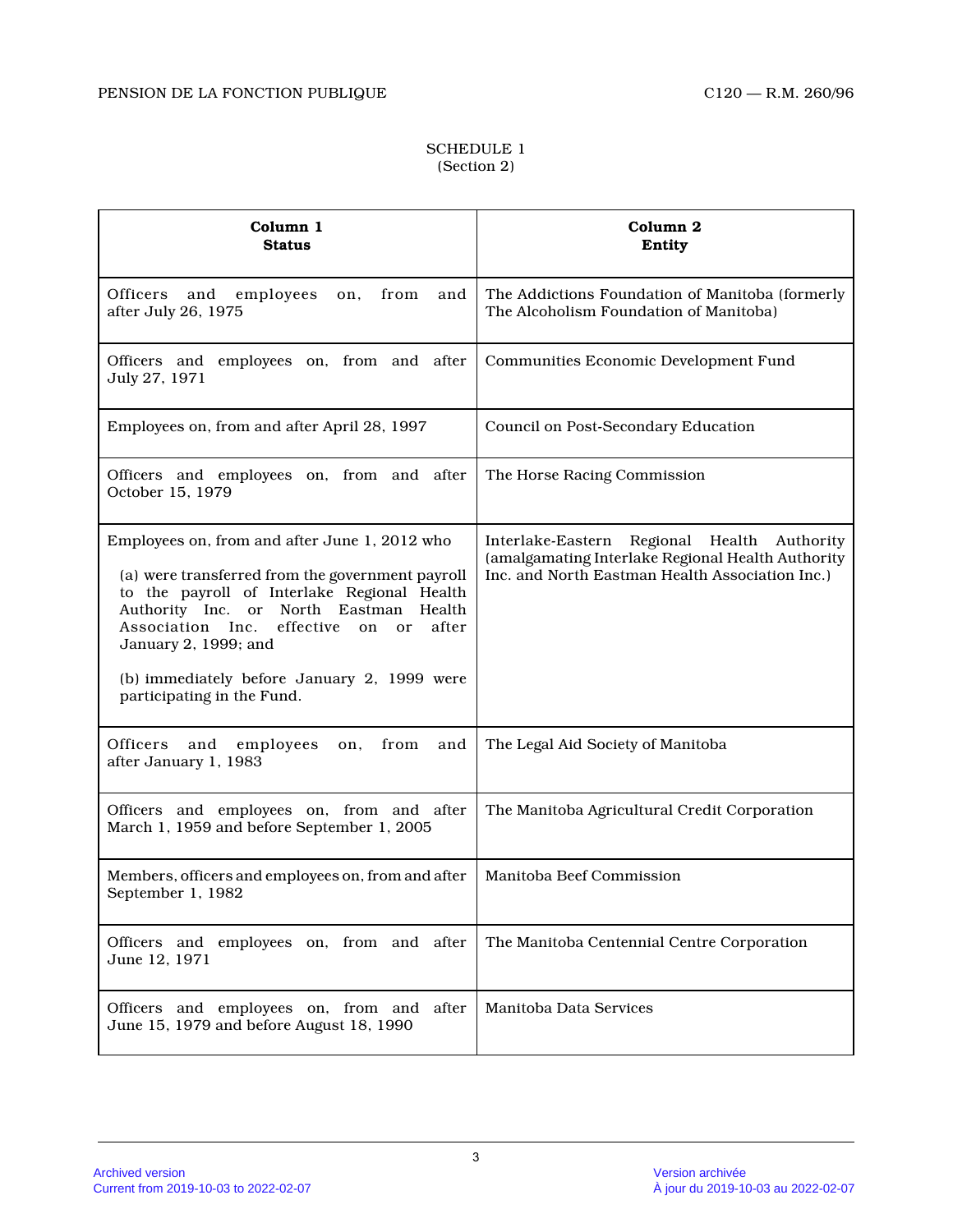## SCHEDULE 1 (Section 2)

| Column 1<br><b>Status</b>                                                                                                                                                                                                                                                                                                                                | Column <sub>2</sub><br>Entity                                                                                                                       |
|----------------------------------------------------------------------------------------------------------------------------------------------------------------------------------------------------------------------------------------------------------------------------------------------------------------------------------------------------------|-----------------------------------------------------------------------------------------------------------------------------------------------------|
| <b>Officers</b><br>and employees<br>on, from<br>and<br>after July 26, 1975                                                                                                                                                                                                                                                                               | The Addictions Foundation of Manitoba (formerly<br>The Alcoholism Foundation of Manitoba)                                                           |
| Officers and employees on, from and after<br>July 27, 1971                                                                                                                                                                                                                                                                                               | Communities Economic Development Fund                                                                                                               |
| Employees on, from and after April 28, 1997                                                                                                                                                                                                                                                                                                              | <b>Council on Post-Secondary Education</b>                                                                                                          |
| Officers and employees on, from and after<br>October 15, 1979                                                                                                                                                                                                                                                                                            | The Horse Racing Commission                                                                                                                         |
| Employees on, from and after June 1, 2012 who<br>(a) were transferred from the government payroll<br>to the payroll of Interlake Regional Health<br>Authority Inc. or North Eastman<br>Health<br>effective<br>after<br>Association Inc.<br>on<br>or<br>January 2, 1999; and<br>(b) immediately before January 2, 1999 were<br>participating in the Fund. | Interlake-Eastern Regional Health Authority<br>(amalgamating Interlake Regional Health Authority<br>Inc. and North Eastman Health Association Inc.) |
| Officers and<br>employees<br>from<br>on,<br>and<br>after January 1, 1983                                                                                                                                                                                                                                                                                 | The Legal Aid Society of Manitoba                                                                                                                   |
| Officers and employees on, from and after<br>March 1, 1959 and before September 1, 2005                                                                                                                                                                                                                                                                  | The Manitoba Agricultural Credit Corporation                                                                                                        |
| Members, officers and employees on, from and after<br>September 1, 1982                                                                                                                                                                                                                                                                                  | Manitoba Beef Commission                                                                                                                            |
| Officers and employees on, from and after<br>June 12, 1971                                                                                                                                                                                                                                                                                               | The Manitoba Centennial Centre Corporation                                                                                                          |
| Officers and employees on, from and after<br>June 15, 1979 and before August 18, 1990                                                                                                                                                                                                                                                                    | Manitoba Data Services                                                                                                                              |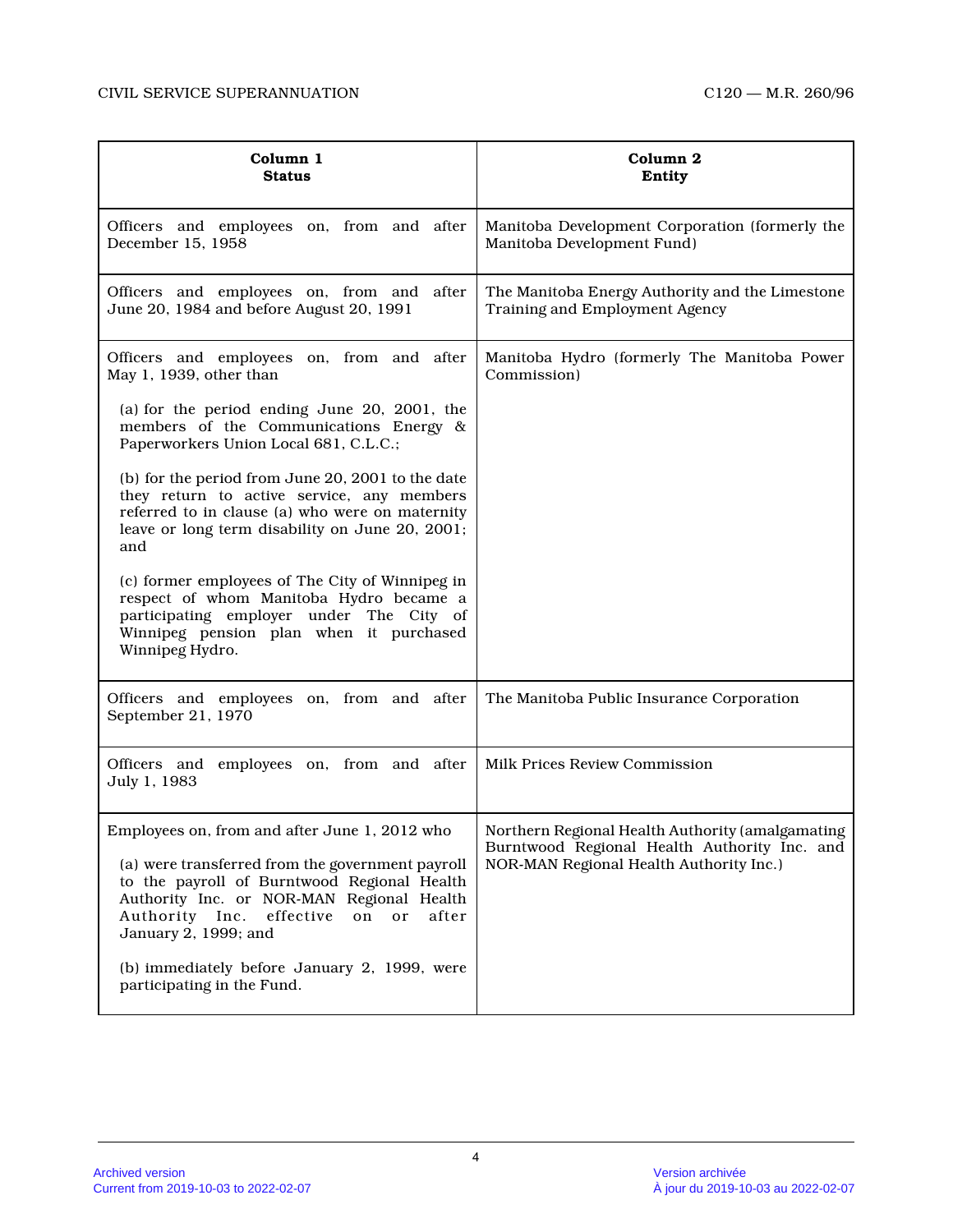| Column 1<br><b>Status</b>                                                                                                                                                                                                                                                                                                                                                                                                                                                                                                                                                                                                       | Column 2<br>Entity                                                                                                                          |
|---------------------------------------------------------------------------------------------------------------------------------------------------------------------------------------------------------------------------------------------------------------------------------------------------------------------------------------------------------------------------------------------------------------------------------------------------------------------------------------------------------------------------------------------------------------------------------------------------------------------------------|---------------------------------------------------------------------------------------------------------------------------------------------|
| Officers and employees on, from and after<br>December 15, 1958                                                                                                                                                                                                                                                                                                                                                                                                                                                                                                                                                                  | Manitoba Development Corporation (formerly the<br>Manitoba Development Fund)                                                                |
| Officers and employees on, from and after<br>June 20, 1984 and before August 20, 1991                                                                                                                                                                                                                                                                                                                                                                                                                                                                                                                                           | The Manitoba Energy Authority and the Limestone<br>Training and Employment Agency                                                           |
| Officers and employees on, from and after<br>May 1, 1939, other than<br>(a) for the period ending June 20, 2001, the<br>members of the Communications Energy &<br>Paperworkers Union Local 681, C.L.C.;<br>(b) for the period from June 20, 2001 to the date<br>they return to active service, any members<br>referred to in clause (a) who were on maternity<br>leave or long term disability on June 20, 2001;<br>and<br>(c) former employees of The City of Winnipeg in<br>respect of whom Manitoba Hydro became a<br>participating employer under The City of<br>Winnipeg pension plan when it purchased<br>Winnipeg Hydro. | Manitoba Hydro (formerly The Manitoba Power<br>Commission)                                                                                  |
| Officers and employees on, from and after<br>September 21, 1970                                                                                                                                                                                                                                                                                                                                                                                                                                                                                                                                                                 | The Manitoba Public Insurance Corporation                                                                                                   |
| Officers and employees on, from and after<br>July 1, 1983                                                                                                                                                                                                                                                                                                                                                                                                                                                                                                                                                                       | Milk Prices Review Commission                                                                                                               |
| Employees on, from and after June 1, 2012 who<br>(a) were transferred from the government payroll<br>to the payroll of Burntwood Regional Health<br>Authority Inc. or NOR-MAN Regional Health<br>Authority Inc.<br>effective<br>on<br><sub>or</sub><br>after<br>January 2, 1999; and<br>(b) immediately before January 2, 1999, were<br>participating in the Fund.                                                                                                                                                                                                                                                              | Northern Regional Health Authority (amalgamating<br>Burntwood Regional Health Authority Inc. and<br>NOR-MAN Regional Health Authority Inc.) |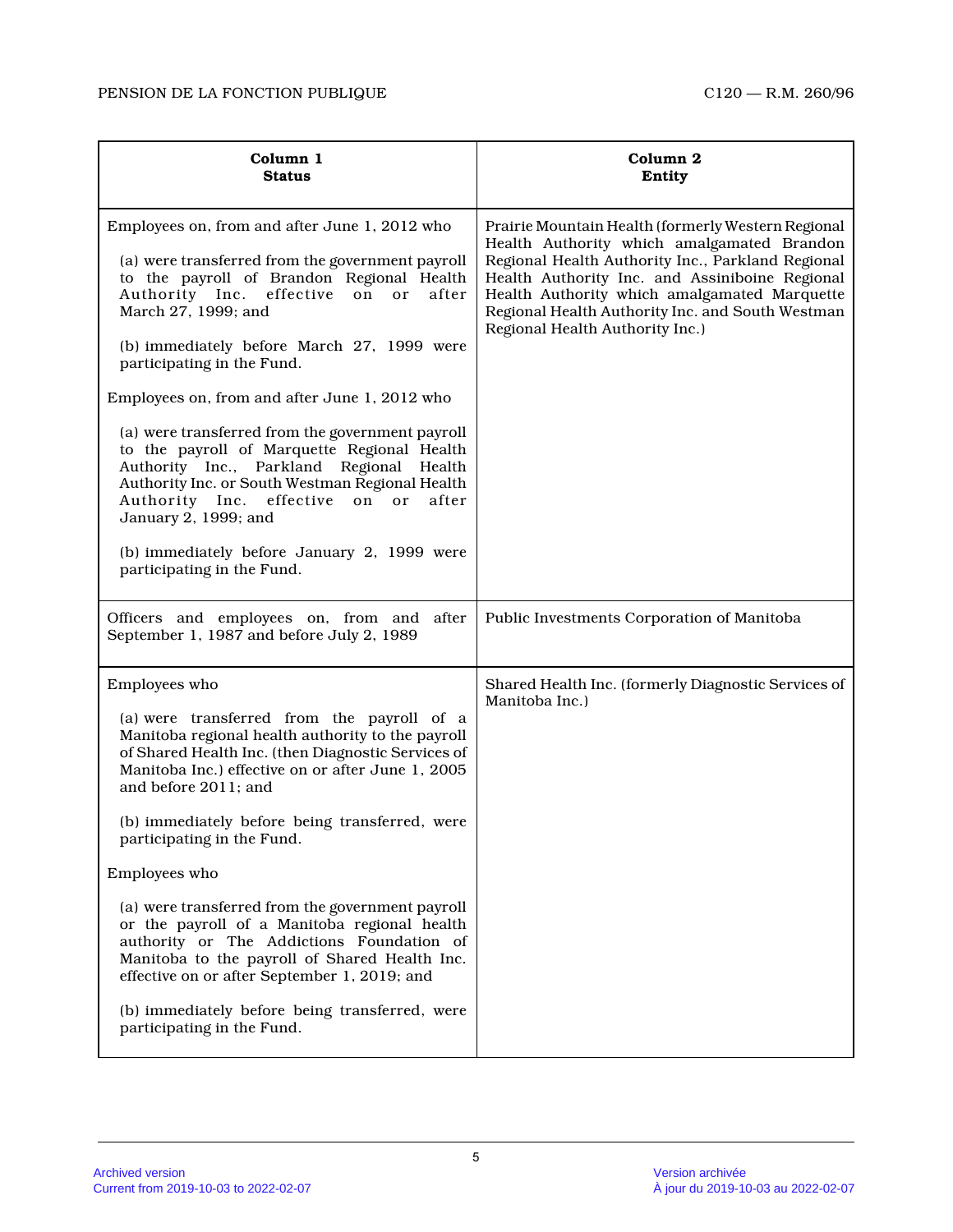| Column 1<br><b>Status</b>                                                                                                                                                                                                                                                                                                                                                                                                                                                                                                                                                                                                                                                                                   | Column 2<br>Entity                                                                                                                                                                                                                                                                                                                             |
|-------------------------------------------------------------------------------------------------------------------------------------------------------------------------------------------------------------------------------------------------------------------------------------------------------------------------------------------------------------------------------------------------------------------------------------------------------------------------------------------------------------------------------------------------------------------------------------------------------------------------------------------------------------------------------------------------------------|------------------------------------------------------------------------------------------------------------------------------------------------------------------------------------------------------------------------------------------------------------------------------------------------------------------------------------------------|
| Employees on, from and after June 1, 2012 who<br>(a) were transferred from the government payroll<br>to the payroll of Brandon Regional Health<br>Authority Inc. effective<br>after<br>on<br>or<br>March 27, 1999; and<br>(b) immediately before March 27, 1999 were<br>participating in the Fund.<br>Employees on, from and after June 1, 2012 who<br>(a) were transferred from the government payroll<br>to the payroll of Marquette Regional Health<br>Authority Inc., Parkland Regional Health<br>Authority Inc. or South Westman Regional Health<br>Authority Inc. effective<br>on<br>or<br>after<br>January 2, 1999; and<br>(b) immediately before January 2, 1999 were<br>participating in the Fund. | Prairie Mountain Health (formerly Western Regional<br>Health Authority which amalgamated Brandon<br>Regional Health Authority Inc., Parkland Regional<br>Health Authority Inc. and Assiniboine Regional<br>Health Authority which amalgamated Marquette<br>Regional Health Authority Inc. and South Westman<br>Regional Health Authority Inc.) |
| Officers and employees on, from and after<br>September 1, 1987 and before July 2, 1989                                                                                                                                                                                                                                                                                                                                                                                                                                                                                                                                                                                                                      | Public Investments Corporation of Manitoba                                                                                                                                                                                                                                                                                                     |
| Employees who<br>(a) were transferred from the payroll of a<br>Manitoba regional health authority to the payroll<br>of Shared Health Inc. (then Diagnostic Services of<br>Manitoba Inc.) effective on or after June 1, 2005<br>and before 2011; and<br>(b) immediately before being transferred, were<br>participating in the Fund.<br>Employees who<br>(a) were transferred from the government payroll<br>or the payroll of a Manitoba regional health<br>authority or The Addictions Foundation of<br>Manitoba to the payroll of Shared Health Inc.<br>effective on or after September 1, 2019; and<br>(b) immediately before being transferred, were<br>participating in the Fund.                      | Shared Health Inc. (formerly Diagnostic Services of<br>Manitoba Inc.)                                                                                                                                                                                                                                                                          |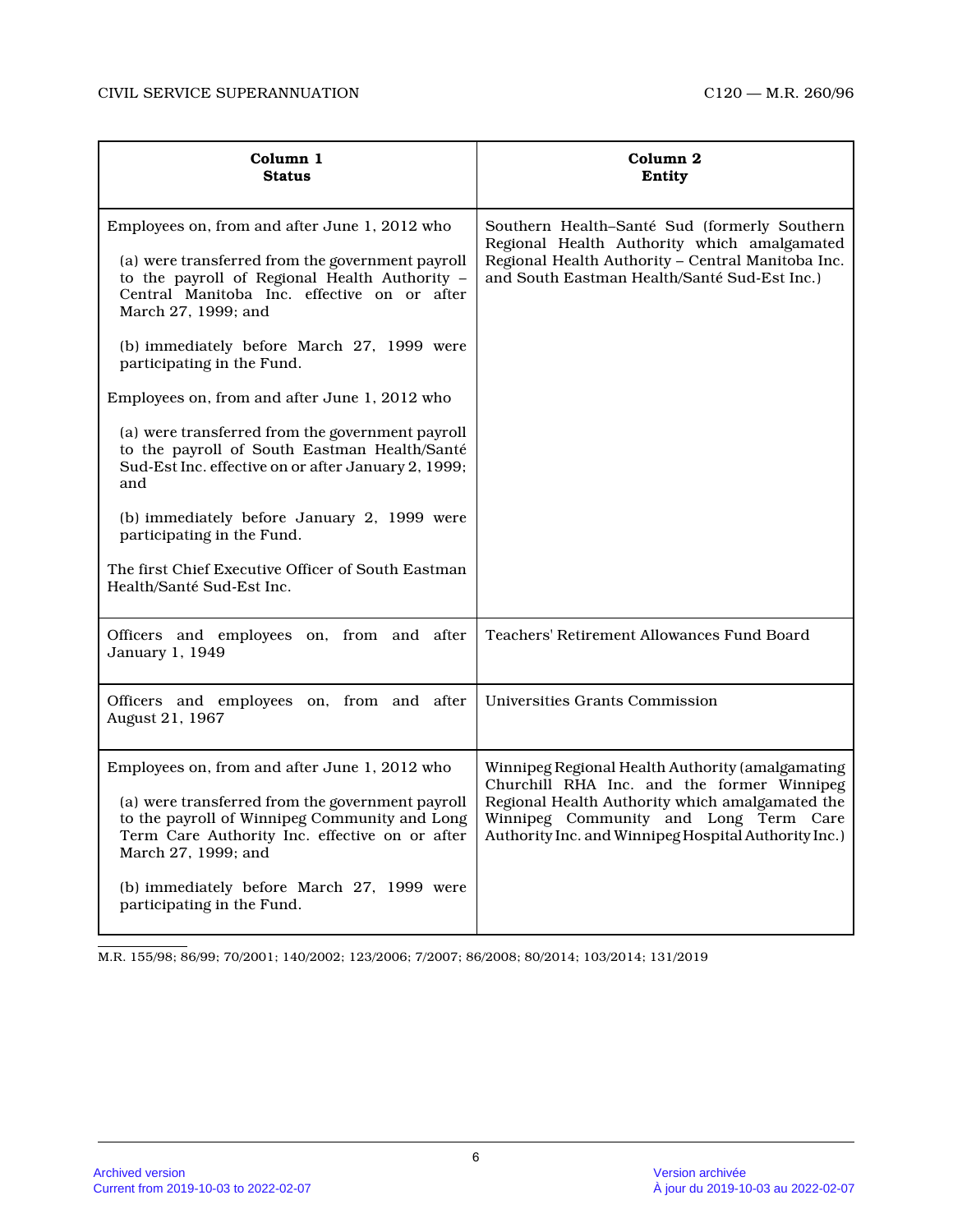| Column 1<br><b>Status</b>                                                                                                                                                                                                                                                                                                                                                                                                                                                                                                                                                                                                                                                               | Column 2<br>Entity                                                                                                                                                                                                                                 |
|-----------------------------------------------------------------------------------------------------------------------------------------------------------------------------------------------------------------------------------------------------------------------------------------------------------------------------------------------------------------------------------------------------------------------------------------------------------------------------------------------------------------------------------------------------------------------------------------------------------------------------------------------------------------------------------------|----------------------------------------------------------------------------------------------------------------------------------------------------------------------------------------------------------------------------------------------------|
| Employees on, from and after June 1, 2012 who<br>(a) were transferred from the government payroll<br>to the payroll of Regional Health Authority -<br>Central Manitoba Inc. effective on or after<br>March 27, 1999; and<br>(b) immediately before March 27, 1999 were<br>participating in the Fund.<br>Employees on, from and after June 1, 2012 who<br>(a) were transferred from the government payroll<br>to the payroll of South Eastman Health/Santé<br>Sud-Est Inc. effective on or after January 2, 1999;<br>and<br>(b) immediately before January 2, 1999 were<br>participating in the Fund.<br>The first Chief Executive Officer of South Eastman<br>Health/Santé Sud-Est Inc. | Southern Health-Santé Sud (formerly Southern<br>Regional Health Authority which amalgamated<br>Regional Health Authority - Central Manitoba Inc.<br>and South Eastman Health/Santé Sud-Est Inc.)                                                   |
| Officers and employees on, from and after<br>January 1, 1949                                                                                                                                                                                                                                                                                                                                                                                                                                                                                                                                                                                                                            | Teachers' Retirement Allowances Fund Board                                                                                                                                                                                                         |
| Officers and employees on, from and after<br>August 21, 1967                                                                                                                                                                                                                                                                                                                                                                                                                                                                                                                                                                                                                            | Universities Grants Commission                                                                                                                                                                                                                     |
| Employees on, from and after June 1, 2012 who<br>(a) were transferred from the government payroll<br>to the payroll of Winnipeg Community and Long<br>Term Care Authority Inc. effective on or after<br>March 27, 1999; and<br>(b) immediately before March 27, 1999 were<br>participating in the Fund.                                                                                                                                                                                                                                                                                                                                                                                 | Winnipeg Regional Health Authority (amalgamating<br>Churchill RHA Inc. and the former Winnipeg<br>Regional Health Authority which amalgamated the<br>Winnipeg Community and Long Term Care<br>Authority Inc. and Winnipeg Hospital Authority Inc.) |

M.R. 155/98; 86/99; 70/2001; 140/2002; 123/2006; 7/2007; 86/2008; 80/2014; 103/2014; 131/2019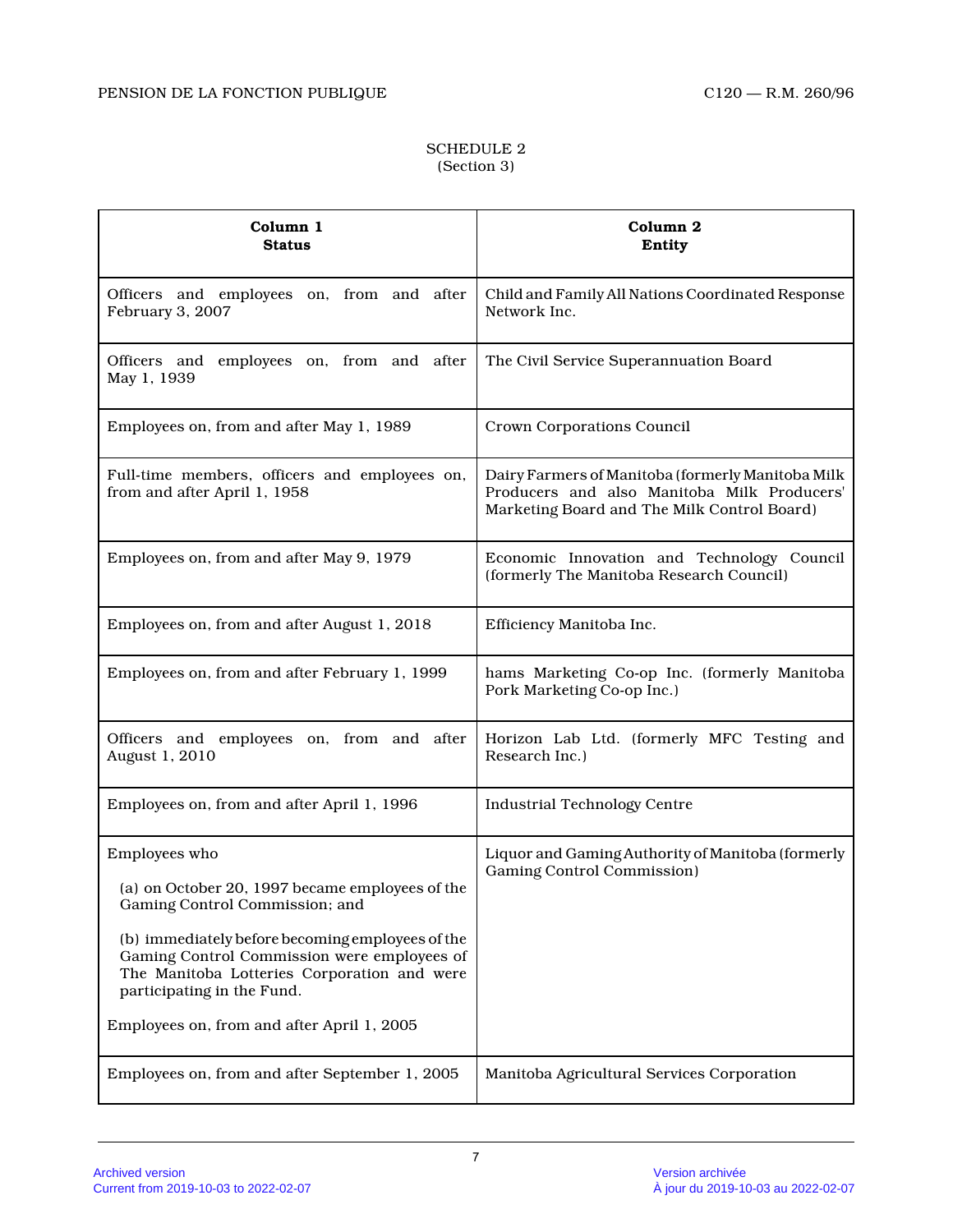## SCHEDULE 2 (Section 3)

| Column 1<br><b>Status</b>                                                                                                                                                                                                                                                                                                        | Column 2<br>Entity                                                                                                                              |
|----------------------------------------------------------------------------------------------------------------------------------------------------------------------------------------------------------------------------------------------------------------------------------------------------------------------------------|-------------------------------------------------------------------------------------------------------------------------------------------------|
| Officers and employees on, from and after<br>February 3, 2007                                                                                                                                                                                                                                                                    | Child and Family All Nations Coordinated Response<br>Network Inc.                                                                               |
| Officers and employees on, from and after<br>May 1, 1939                                                                                                                                                                                                                                                                         | The Civil Service Superannuation Board                                                                                                          |
| Employees on, from and after May 1, 1989                                                                                                                                                                                                                                                                                         | Crown Corporations Council                                                                                                                      |
| Full-time members, officers and employees on,<br>from and after April 1, 1958                                                                                                                                                                                                                                                    | Dairy Farmers of Manitoba (formerly Manitoba Milk<br>Producers and also Manitoba Milk Producers'<br>Marketing Board and The Milk Control Board) |
| Employees on, from and after May 9, 1979                                                                                                                                                                                                                                                                                         | Economic Innovation and Technology Council<br>(formerly The Manitoba Research Council)                                                          |
| Employees on, from and after August 1, 2018                                                                                                                                                                                                                                                                                      | Efficiency Manitoba Inc.                                                                                                                        |
| Employees on, from and after February 1, 1999                                                                                                                                                                                                                                                                                    | hams Marketing Co-op Inc. (formerly Manitoba<br>Pork Marketing Co-op Inc.)                                                                      |
| Officers and employees on, from and after<br>August 1, 2010                                                                                                                                                                                                                                                                      | Horizon Lab Ltd. (formerly MFC Testing and<br>Research Inc.)                                                                                    |
| Employees on, from and after April 1, 1996                                                                                                                                                                                                                                                                                       | <b>Industrial Technology Centre</b>                                                                                                             |
| Employees who<br>(a) on October 20, 1997 became employees of the<br>Gaming Control Commission; and<br>(b) immediately before becoming employees of the<br>Gaming Control Commission were employees of<br>The Manitoba Lotteries Corporation and were<br>participating in the Fund.<br>Employees on, from and after April 1, 2005 | Liquor and Gaming Authority of Manitoba (formerly<br>Gaming Control Commission)                                                                 |
| Employees on, from and after September 1, 2005                                                                                                                                                                                                                                                                                   | Manitoba Agricultural Services Corporation                                                                                                      |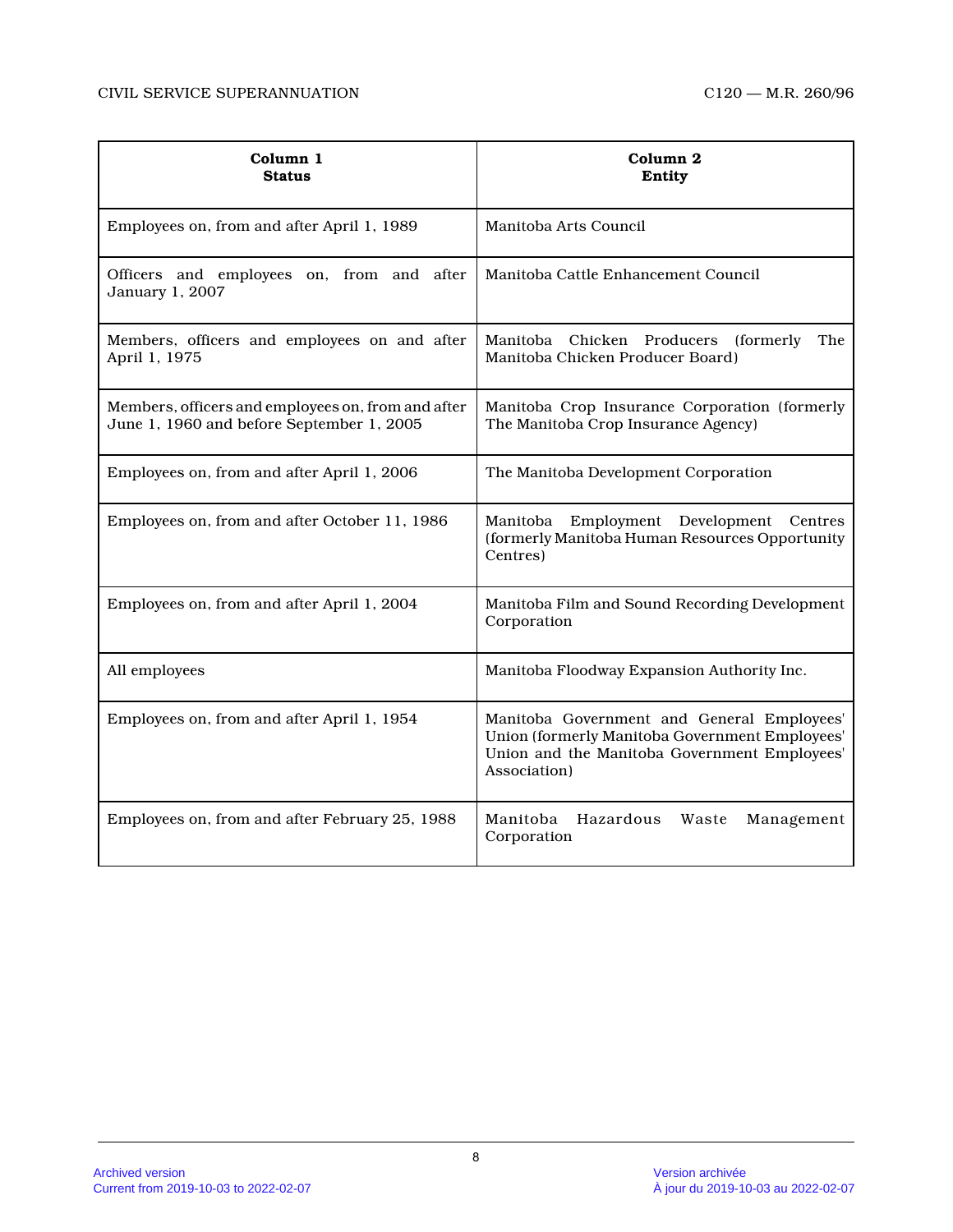| Column 1<br><b>Status</b>                                                                       | Column <sub>2</sub><br>Entity                                                                                                                                |
|-------------------------------------------------------------------------------------------------|--------------------------------------------------------------------------------------------------------------------------------------------------------------|
| Employees on, from and after April 1, 1989                                                      | Manitoba Arts Council                                                                                                                                        |
| Officers and employees on, from and after<br>January 1, 2007                                    | Manitoba Cattle Enhancement Council                                                                                                                          |
| Members, officers and employees on and after<br>April 1, 1975                                   | Manitoba Chicken Producers<br>(formerly)<br>The<br>Manitoba Chicken Producer Board)                                                                          |
| Members, officers and employees on, from and after<br>June 1, 1960 and before September 1, 2005 | Manitoba Crop Insurance Corporation (formerly<br>The Manitoba Crop Insurance Agency)                                                                         |
| Employees on, from and after April 1, 2006                                                      | The Manitoba Development Corporation                                                                                                                         |
| Employees on, from and after October 11, 1986                                                   | Employment Development<br>Centres<br>Manitoba<br>(formerly Manitoba Human Resources Opportunity<br>Centres)                                                  |
| Employees on, from and after April 1, 2004                                                      | Manitoba Film and Sound Recording Development<br>Corporation                                                                                                 |
| All employees                                                                                   | Manitoba Floodway Expansion Authority Inc.                                                                                                                   |
| Employees on, from and after April 1, 1954                                                      | Manitoba Government and General Employees'<br>Union (formerly Manitoba Government Employees'<br>Union and the Manitoba Government Employees'<br>Association) |
| Employees on, from and after February 25, 1988                                                  | Hazardous<br>Manitoba<br>Waste<br>Management<br>Corporation                                                                                                  |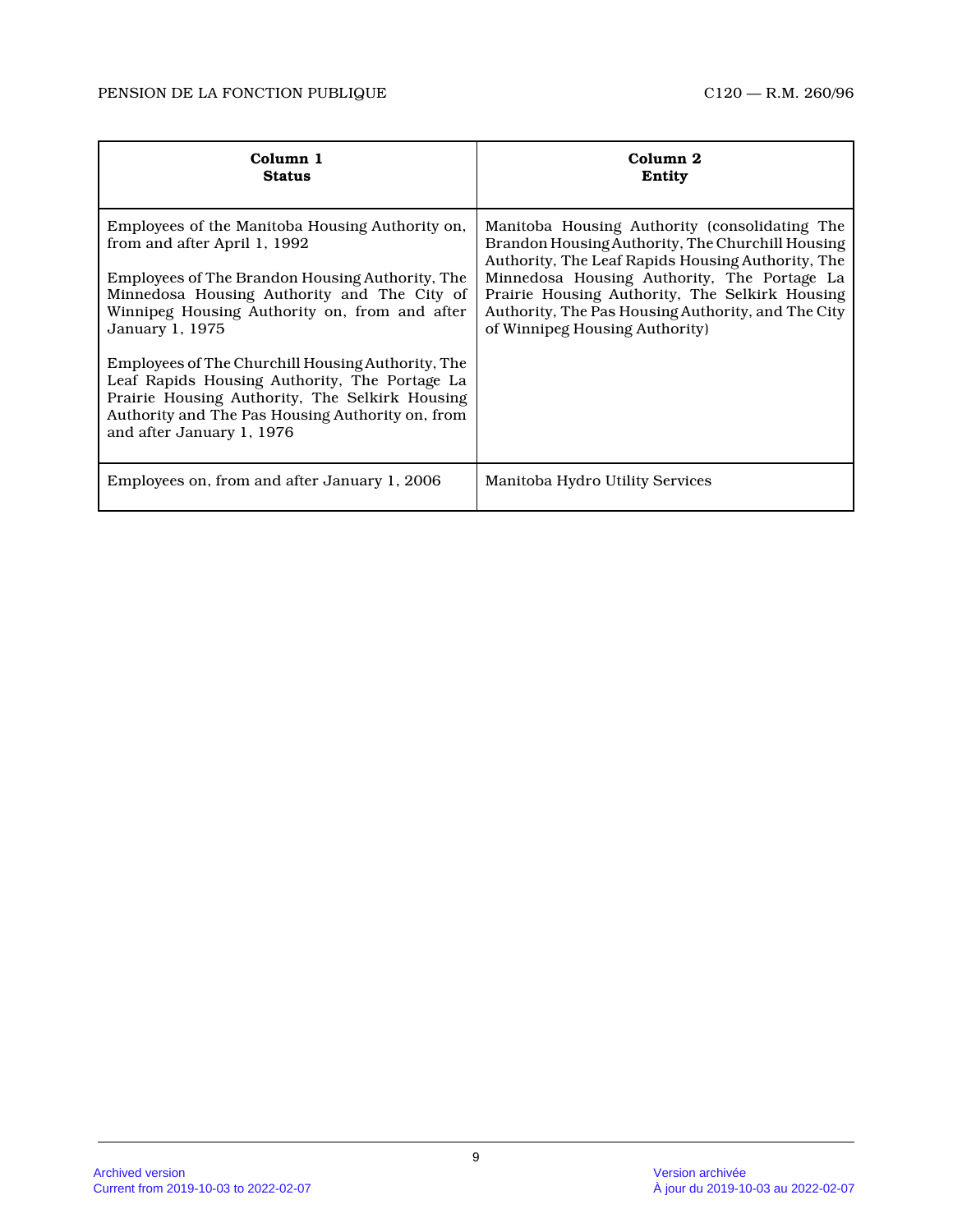| Column 1<br><b>Status</b>                                                                                                                                                                                                                                                                                                                                                                                                                                                                      | Column 2<br>Entity                                                                                                                                                                                                                                                                                                                              |
|------------------------------------------------------------------------------------------------------------------------------------------------------------------------------------------------------------------------------------------------------------------------------------------------------------------------------------------------------------------------------------------------------------------------------------------------------------------------------------------------|-------------------------------------------------------------------------------------------------------------------------------------------------------------------------------------------------------------------------------------------------------------------------------------------------------------------------------------------------|
| Employees of the Manitoba Housing Authority on,<br>from and after April 1, 1992<br>Employees of The Brandon Housing Authority, The<br>Minnedosa Housing Authority and The City of<br>Winnipeg Housing Authority on, from and after<br>January 1, 1975<br>Employees of The Churchill Housing Authority, The<br>Leaf Rapids Housing Authority, The Portage La<br>Prairie Housing Authority, The Selkirk Housing<br>Authority and The Pas Housing Authority on, from<br>and after January 1, 1976 | Manitoba Housing Authority (consolidating The<br>Brandon Housing Authority, The Churchill Housing<br>Authority, The Leaf Rapids Housing Authority, The<br>Minnedosa Housing Authority, The Portage La<br>Prairie Housing Authority, The Selkirk Housing<br>Authority, The Pas Housing Authority, and The City<br>of Winnipeg Housing Authority) |
| Employees on, from and after January 1, 2006                                                                                                                                                                                                                                                                                                                                                                                                                                                   | Manitoba Hydro Utility Services                                                                                                                                                                                                                                                                                                                 |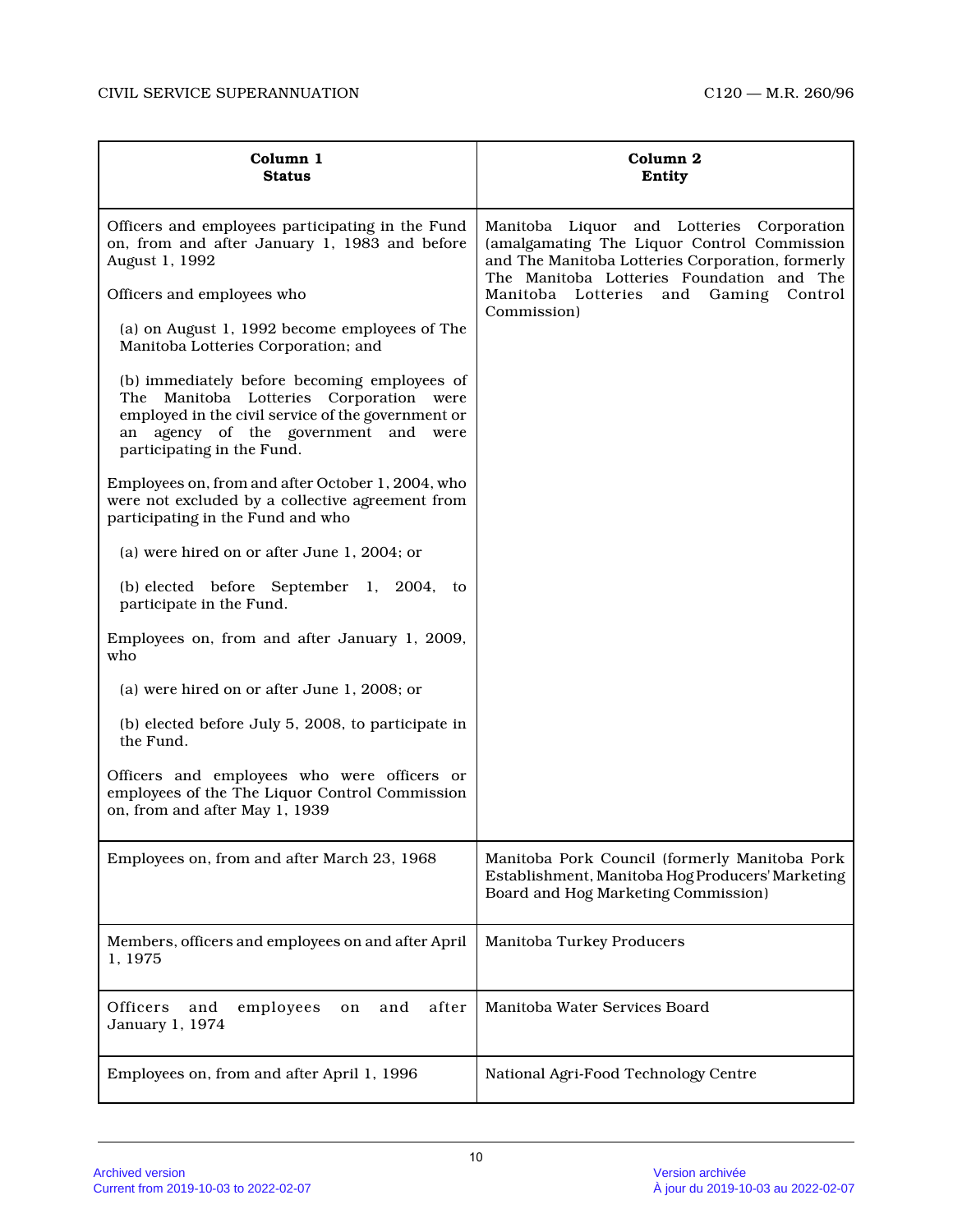| Column 1<br><b>Status</b>                                                                                                                                                                                                 | Column <sub>2</sub><br>Entity                                                                                                                                                             |
|---------------------------------------------------------------------------------------------------------------------------------------------------------------------------------------------------------------------------|-------------------------------------------------------------------------------------------------------------------------------------------------------------------------------------------|
| Officers and employees participating in the Fund<br>on, from and after January 1, 1983 and before<br>August 1, 1992                                                                                                       | Manitoba Liquor and Lotteries Corporation<br>(amalgamating The Liquor Control Commission<br>and The Manitoba Lotteries Corporation, formerly<br>The Manitoba Lotteries Foundation and The |
| Officers and employees who                                                                                                                                                                                                | Manitoba Lotteries<br>and<br>Gaming<br>Control<br>Commission)                                                                                                                             |
| (a) on August 1, 1992 become employees of The<br>Manitoba Lotteries Corporation; and                                                                                                                                      |                                                                                                                                                                                           |
| (b) immediately before becoming employees of<br>Manitoba Lotteries Corporation<br>The<br>were<br>employed in the civil service of the government or<br>an agency of the government and were<br>participating in the Fund. |                                                                                                                                                                                           |
| Employees on, from and after October 1, 2004, who<br>were not excluded by a collective agreement from<br>participating in the Fund and who                                                                                |                                                                                                                                                                                           |
| (a) were hired on or after June 1, 2004; or                                                                                                                                                                               |                                                                                                                                                                                           |
| (b) elected before September 1, 2004, to<br>participate in the Fund.                                                                                                                                                      |                                                                                                                                                                                           |
| Employees on, from and after January 1, 2009,<br>who                                                                                                                                                                      |                                                                                                                                                                                           |
| (a) were hired on or after June 1, 2008; or                                                                                                                                                                               |                                                                                                                                                                                           |
| (b) elected before July 5, 2008, to participate in<br>the Fund.                                                                                                                                                           |                                                                                                                                                                                           |
| Officers and employees who were officers or<br>employees of the The Liquor Control Commission<br>on, from and after May 1, 1939                                                                                           |                                                                                                                                                                                           |
| Employees on, from and after March 23, 1968                                                                                                                                                                               | Manitoba Pork Council (formerly Manitoba Pork<br>Establishment, Manitoba Hog Producers' Marketing<br>Board and Hog Marketing Commission)                                                  |
| Members, officers and employees on and after April<br>1, 1975                                                                                                                                                             | Manitoba Turkey Producers                                                                                                                                                                 |
| after<br>employees<br>Officers<br>and<br>and<br>on<br>January 1, 1974                                                                                                                                                     | Manitoba Water Services Board                                                                                                                                                             |
| Employees on, from and after April 1, 1996                                                                                                                                                                                | National Agri-Food Technology Centre                                                                                                                                                      |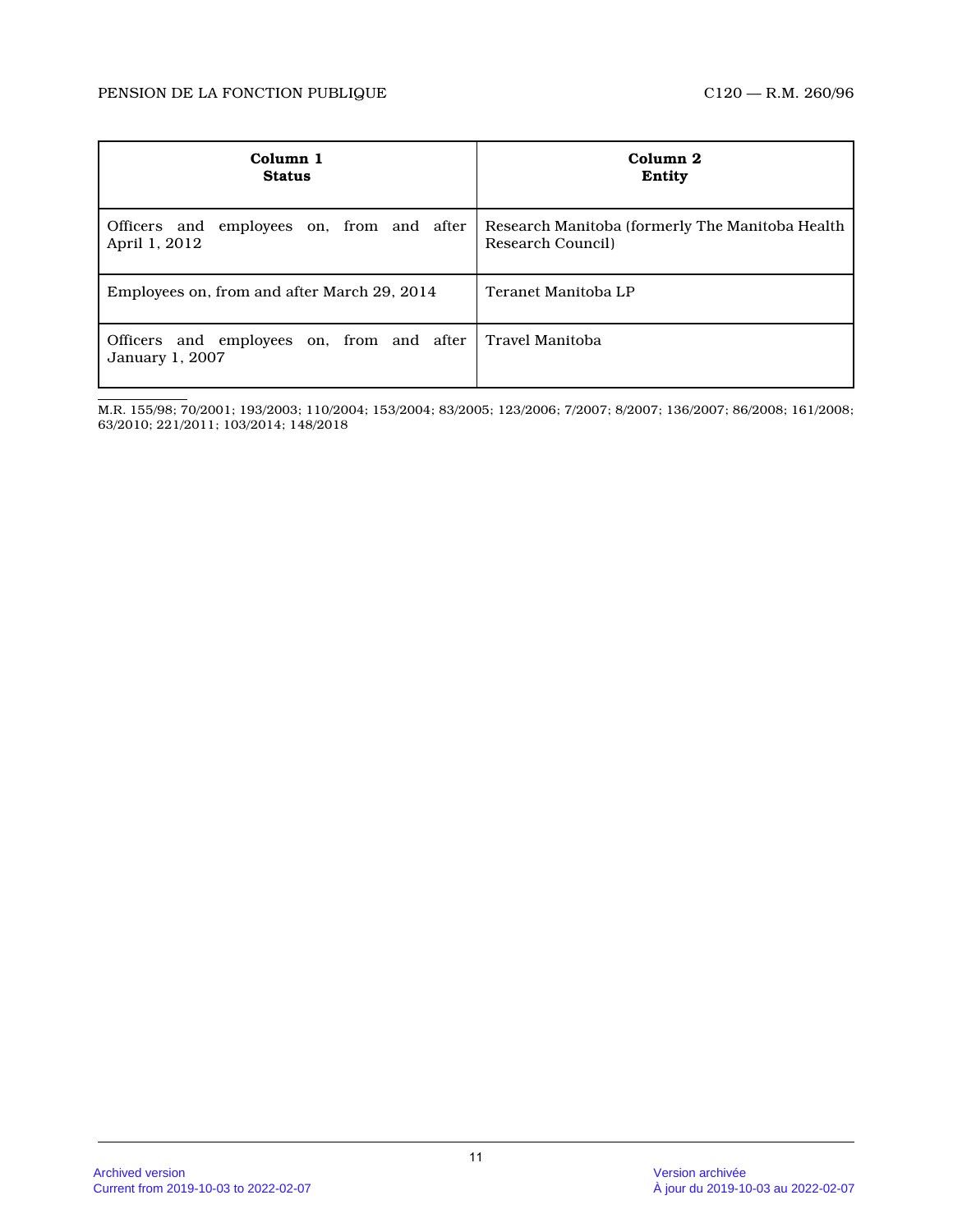| Column 1                                                     | Column 2                                         |
|--------------------------------------------------------------|--------------------------------------------------|
| <b>Status</b>                                                | Entity                                           |
| Officers and employees on, from and after                    | Research Manitoba (formerly The Manitoba Health) |
| April 1, 2012                                                | Research Council)                                |
| Employees on, from and after March 29, 2014                  | Teranet Manitoba LP                              |
| Officers and employees on, from and after<br>January 1, 2007 | l Travel Manitoba                                |

M.R. 155/98; 70/2001; 193/2003; 110/2004; 153/2004; 83/2005; 123/2006; 7/2007; 8/2007; 136/2007; 86/2008; 161/2008; 63/2010; 221/2011; 103/2014; 148/2018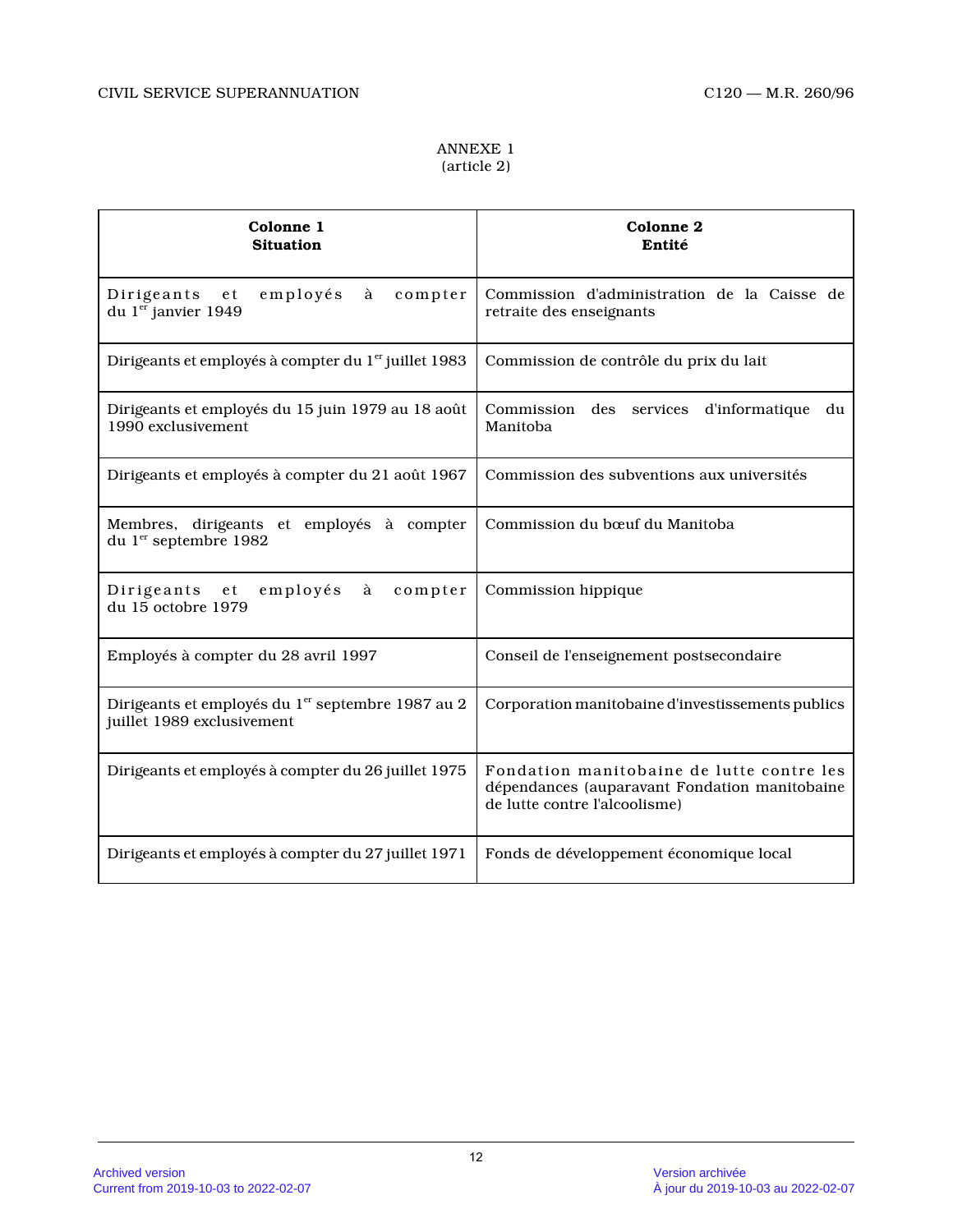## ANNEXE 1 (article 2)

| Colonne 1<br><b>Situation</b>                                                               | Colonne 2<br>Entité                                                                                                                                                                                                                                                                                                                                                                                                                                                                                                                                                                          |
|---------------------------------------------------------------------------------------------|----------------------------------------------------------------------------------------------------------------------------------------------------------------------------------------------------------------------------------------------------------------------------------------------------------------------------------------------------------------------------------------------------------------------------------------------------------------------------------------------------------------------------------------------------------------------------------------------|
| employés<br>compter<br>Dirigeants<br>e t<br>à<br>du $1er$ janvier 1949                      | Commission d'administration de la Caisse de<br>retraite des enseignants                                                                                                                                                                                                                                                                                                                                                                                                                                                                                                                      |
| Dirigeants et employés à compter du 1 <sup>er</sup> juillet 1983                            | Commission de contrôle du prix du lait                                                                                                                                                                                                                                                                                                                                                                                                                                                                                                                                                       |
| Dirigeants et employés du 15 juin 1979 au 18 août<br>1990 exclusivement                     | d'informatique<br>Commission<br>$\mathrm{des}% \left\vert \mathcal{H}\right\vert =\mathrm{des}(\mathcal{H})\left\vert \mathcal{H}% \right\vert ^{2}=\mathrm{des}(\mathcal{H})\left\vert \mathcal{H}% \right\vert ^{2}=\mathrm{des}(\mathcal{H})\left\vert \mathcal{H}% \right\vert ^{2}=\mathrm{des}(\mathcal{H})\left\vert \mathcal{H}% \right\vert ^{2}=\mathrm{des}(\mathcal{H})\left\vert \mathcal{H}% \right\vert ^{2}=\mathrm{des}(\mathcal{H})\left\vert \mathcal{H}% \right\vert ^{2}=\mathrm{des}(\mathcal{H})\left\vert \mathcal{H}% \right\vert ^{$<br>services<br>du<br>Manitoba |
| Dirigeants et employés à compter du 21 août 1967                                            | Commission des subventions aux universités                                                                                                                                                                                                                                                                                                                                                                                                                                                                                                                                                   |
| Membres, dirigeants et employés à compter<br>du 1 <sup>er</sup> septembre 1982              | Commission du bœuf du Manitoba                                                                                                                                                                                                                                                                                                                                                                                                                                                                                                                                                               |
| employés<br>Dirigeants et<br>à<br>compter<br>du 15 octobre 1979                             | Commission hippique                                                                                                                                                                                                                                                                                                                                                                                                                                                                                                                                                                          |
| Employés à compter du 28 avril 1997                                                         | Conseil de l'enseignement postsecondaire                                                                                                                                                                                                                                                                                                                                                                                                                                                                                                                                                     |
| Dirigeants et employés du 1 <sup>er</sup> septembre 1987 au 2<br>juillet 1989 exclusivement | Corporation manitobaine d'investissements publics                                                                                                                                                                                                                                                                                                                                                                                                                                                                                                                                            |
| Dirigeants et employés à compter du 26 juillet 1975                                         | Fondation manitobaine de lutte contre les<br>dépendances (auparavant Fondation manitobaine<br>de lutte contre l'alcoolisme)                                                                                                                                                                                                                                                                                                                                                                                                                                                                  |
| Dirigeants et employés à compter du 27 juillet 1971                                         | Fonds de développement économique local                                                                                                                                                                                                                                                                                                                                                                                                                                                                                                                                                      |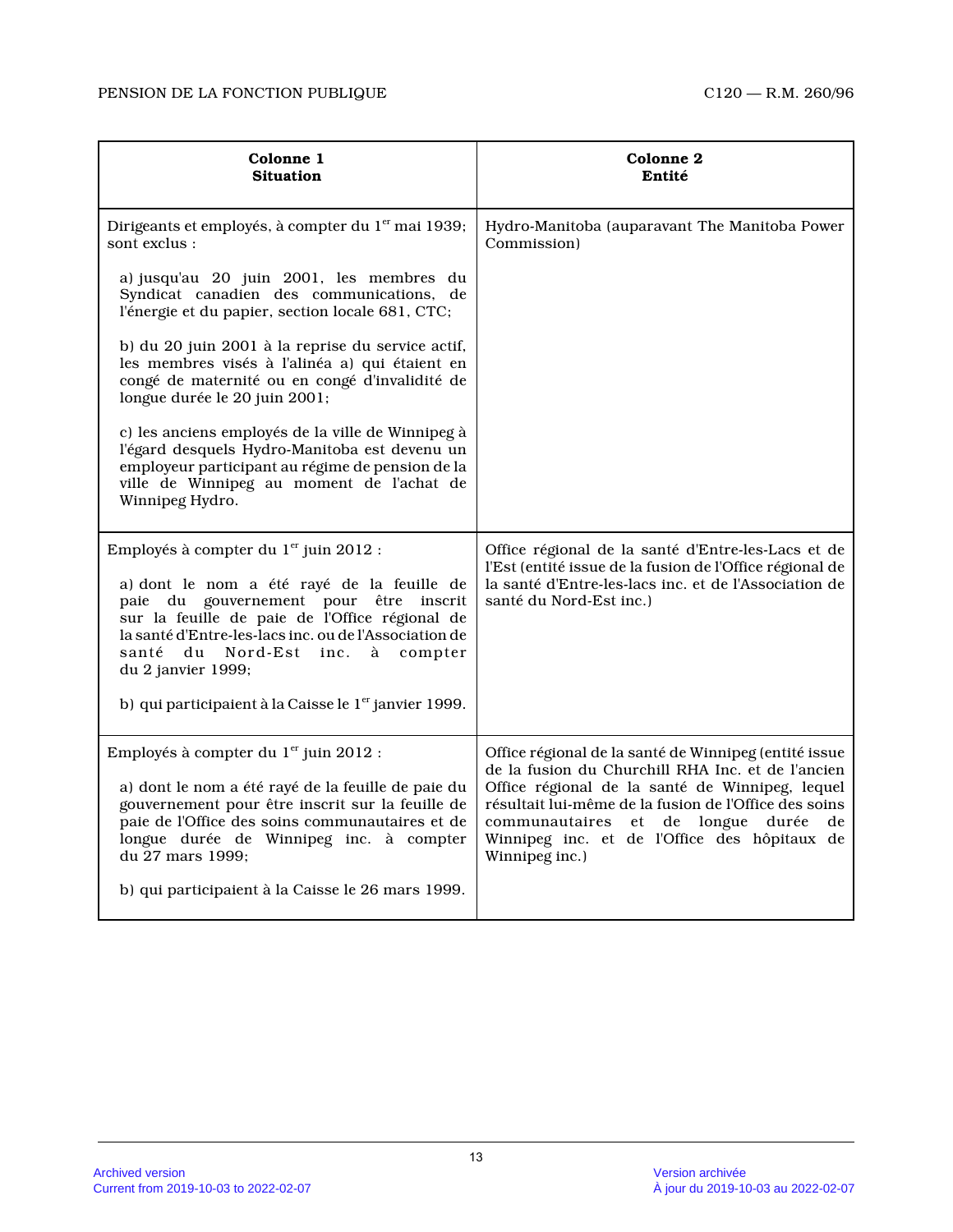| Colonne 1<br><b>Situation</b>                                                                                                                                                                                                                                                                                                                                                               | <b>Colonne 2</b><br>Entité                                                                                                                                                                                                                                                                                                             |
|---------------------------------------------------------------------------------------------------------------------------------------------------------------------------------------------------------------------------------------------------------------------------------------------------------------------------------------------------------------------------------------------|----------------------------------------------------------------------------------------------------------------------------------------------------------------------------------------------------------------------------------------------------------------------------------------------------------------------------------------|
| Dirigeants et employés, à compter du 1 <sup>er</sup> mai 1939;<br>sont exclus:                                                                                                                                                                                                                                                                                                              | Hydro-Manitoba (auparavant The Manitoba Power<br>Commission)                                                                                                                                                                                                                                                                           |
| a) jusqu'au 20 juin 2001, les membres du<br>Syndicat canadien des communications, de<br>l'énergie et du papier, section locale 681, CTC;                                                                                                                                                                                                                                                    |                                                                                                                                                                                                                                                                                                                                        |
| b) du 20 juin 2001 à la reprise du service actif,<br>les membres visés à l'alinéa a) qui étaient en<br>congé de maternité ou en congé d'invalidité de<br>longue durée le 20 juin 2001;                                                                                                                                                                                                      |                                                                                                                                                                                                                                                                                                                                        |
| c) les anciens employés de la ville de Winnipeg à<br>l'égard desquels Hydro-Manitoba est devenu un<br>employeur participant au régime de pension de la<br>ville de Winnipeg au moment de l'achat de<br>Winnipeg Hydro.                                                                                                                                                                      |                                                                                                                                                                                                                                                                                                                                        |
| Employés à compter du $1er$ juin 2012 :<br>a) dont le nom a été rayé de la feuille de<br>paie du gouvernement pour<br>être<br>inscrit<br>sur la feuille de paie de l'Office régional de<br>la santé d'Entre-les-lacs inc. ou de l'Association de<br>du<br>Nord-Est inc.<br>santé<br>à<br>compter<br>du 2 janvier 1999;<br>b) qui participaient à la Caisse le 1 <sup>er</sup> janvier 1999. | Office régional de la santé d'Entre-les-Lacs et de<br>l'Est (entité issue de la fusion de l'Office régional de<br>la santé d'Entre-les-lacs inc. et de l'Association de<br>santé du Nord-Est inc.)                                                                                                                                     |
| Employés à compter du 1er juin 2012 :<br>a) dont le nom a été rayé de la feuille de paie du<br>gouvernement pour être inscrit sur la feuille de<br>paie de l'Office des soins communautaires et de<br>longue durée de Winnipeg inc. à compter<br>du 27 mars 1999;<br>b) qui participaient à la Caisse le 26 mars 1999.                                                                      | Office régional de la santé de Winnipeg (entité issue<br>de la fusion du Churchill RHA Inc. et de l'ancien<br>Office régional de la santé de Winnipeg, lequel<br>résultait lui-même de la fusion de l'Office des soins<br>communautaires et de longue<br>durée<br>de<br>Winnipeg inc. et de l'Office des hôpitaux de<br>Winnipeg inc.) |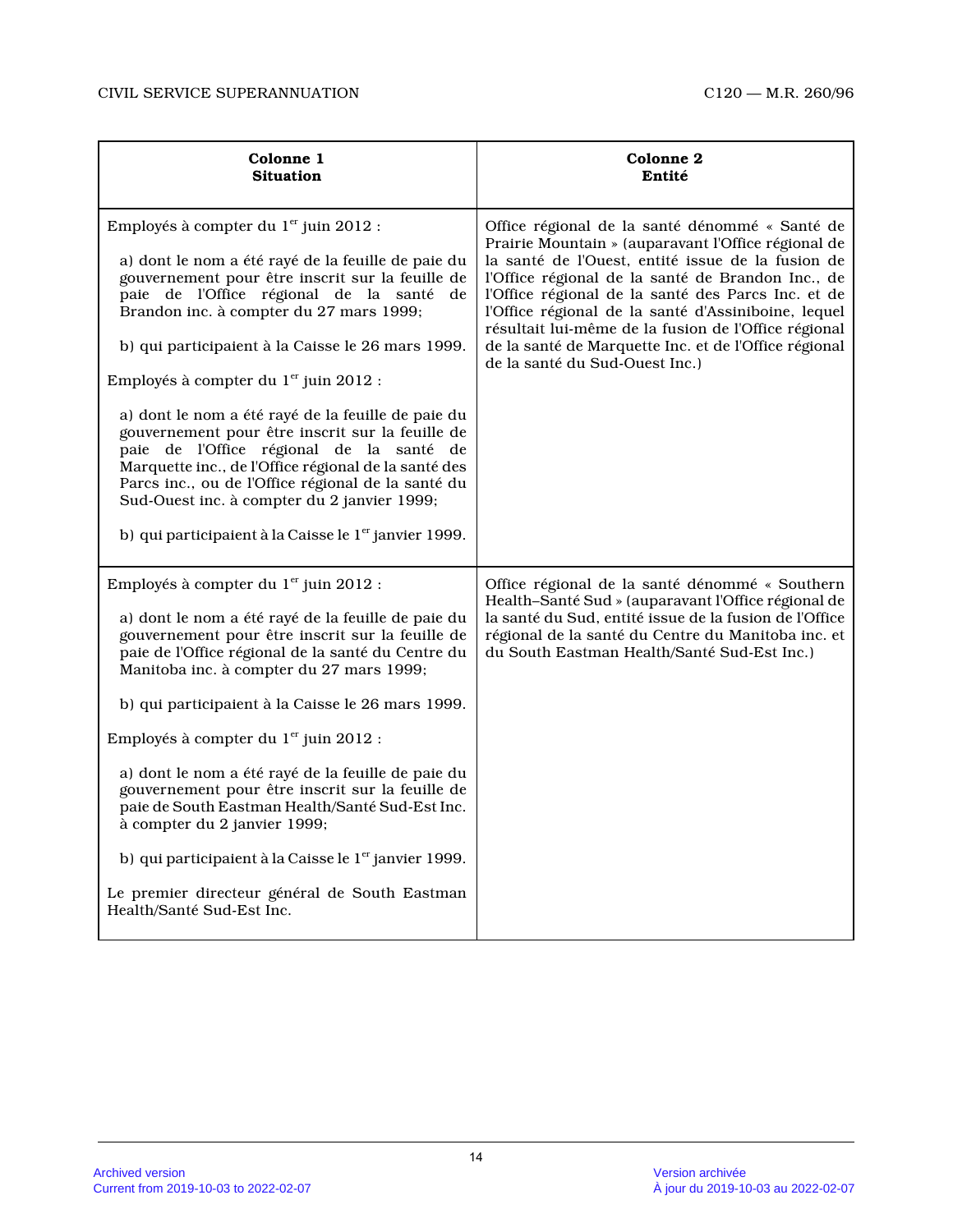| Colonne 1<br><b>Situation</b>                                                                                                                                                                                                                                                                                                                                                                                                                                                                                                                                                                                                                                                                                                                        | Colonne 2<br>Entité                                                                                                                                                                                                                                                                                                                                                                                                                                                             |
|------------------------------------------------------------------------------------------------------------------------------------------------------------------------------------------------------------------------------------------------------------------------------------------------------------------------------------------------------------------------------------------------------------------------------------------------------------------------------------------------------------------------------------------------------------------------------------------------------------------------------------------------------------------------------------------------------------------------------------------------------|---------------------------------------------------------------------------------------------------------------------------------------------------------------------------------------------------------------------------------------------------------------------------------------------------------------------------------------------------------------------------------------------------------------------------------------------------------------------------------|
| Employés à compter du 1 <sup>er</sup> juin 2012 :<br>a) dont le nom a été rayé de la feuille de paie du<br>gouvernement pour être inscrit sur la feuille de<br>paie de l'Office régional de la santé de<br>Brandon inc. à compter du 27 mars 1999;<br>b) qui participaient à la Caisse le 26 mars 1999.<br>Employés à compter du 1 <sup>er</sup> juin 2012 :<br>a) dont le nom a été rayé de la feuille de paie du<br>gouvernement pour être inscrit sur la feuille de<br>paie de l'Office régional de la santé de<br>Marquette inc., de l'Office régional de la santé des<br>Parcs inc., ou de l'Office régional de la santé du<br>Sud-Ouest inc. à compter du 2 janvier 1999;<br>b) qui participaient à la Caisse le 1 <sup>er</sup> janvier 1999. | Office régional de la santé dénommé « Santé de<br>Prairie Mountain » (auparavant l'Office régional de<br>la santé de l'Ouest, entité issue de la fusion de<br>l'Office régional de la santé de Brandon Inc., de<br>l'Office régional de la santé des Parcs Inc. et de<br>l'Office régional de la santé d'Assiniboine, lequel<br>résultait lui-même de la fusion de l'Office régional<br>de la santé de Marquette Inc. et de l'Office régional<br>de la santé du Sud-Ouest Inc.) |
| Employés à compter du 1 <sup>er</sup> juin 2012 :<br>a) dont le nom a été rayé de la feuille de paie du<br>gouvernement pour être inscrit sur la feuille de<br>paie de l'Office régional de la santé du Centre du<br>Manitoba inc. à compter du 27 mars 1999;<br>b) qui participaient à la Caisse le 26 mars 1999.<br>Employés à compter du 1 <sup>er</sup> juin 2012 :<br>a) dont le nom a été rayé de la feuille de paie du<br>gouvernement pour être inscrit sur la feuille de<br>paie de South Eastman Health/Santé Sud-Est Inc.<br>à compter du 2 janvier 1999;<br>b) qui participaient à la Caisse le 1 <sup>er</sup> janvier 1999.<br>Le premier directeur général de South Eastman<br>Health/Santé Sud-Est Inc.                              | Office régional de la santé dénommé « Southern<br>Health-Santé Sud » (auparavant l'Office régional de<br>la santé du Sud, entité issue de la fusion de l'Office<br>régional de la santé du Centre du Manitoba inc. et<br>du South Eastman Health/Santé Sud-Est Inc.)                                                                                                                                                                                                            |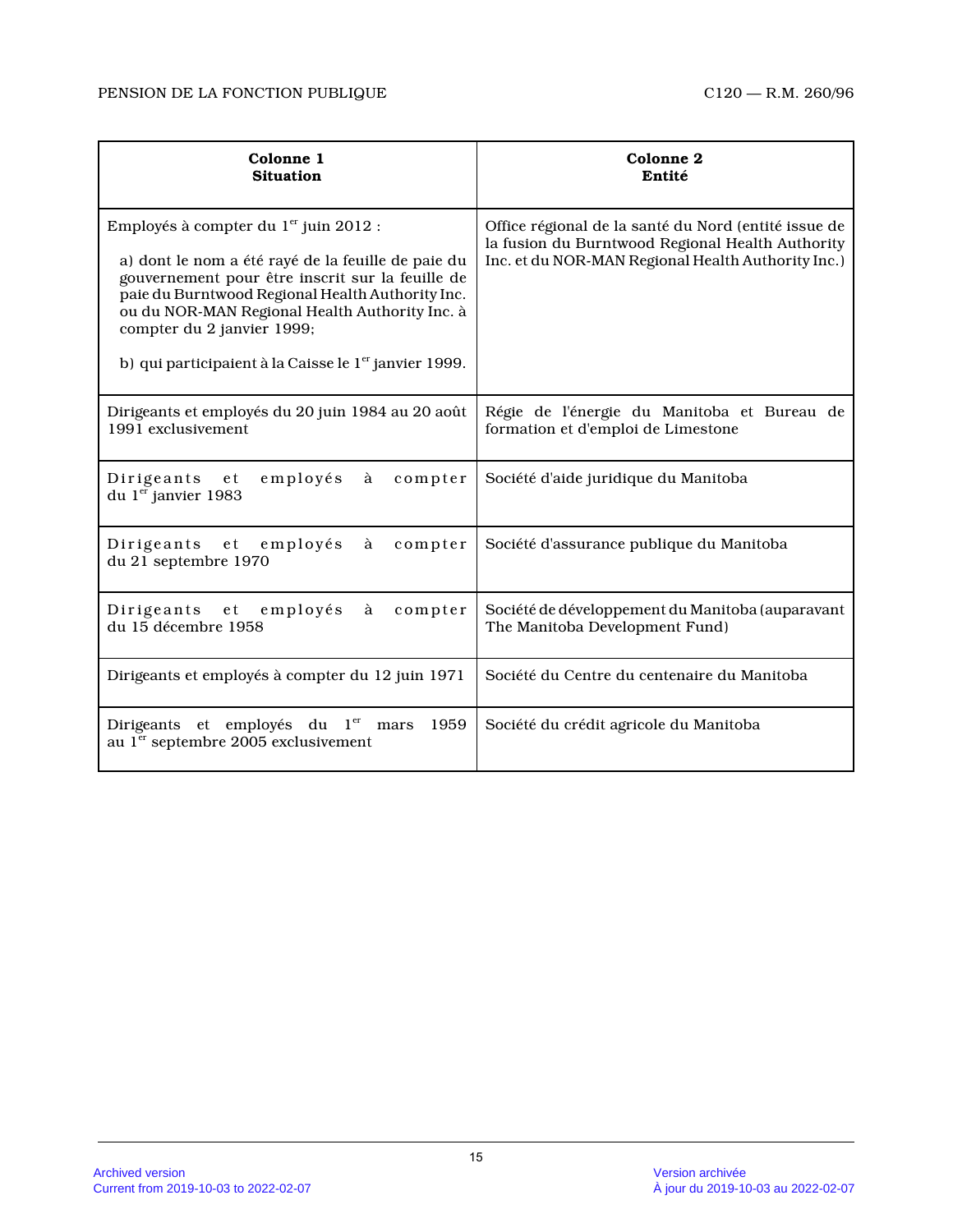| Colonne 1<br><b>Situation</b>                                                                                                                                                                                                                                                                                                                                        | Colonne 2<br>Entité                                                                                                                                            |
|----------------------------------------------------------------------------------------------------------------------------------------------------------------------------------------------------------------------------------------------------------------------------------------------------------------------------------------------------------------------|----------------------------------------------------------------------------------------------------------------------------------------------------------------|
| Employés à compter du 1 <sup>er</sup> juin 2012 :<br>a) dont le nom a été rayé de la feuille de paie du<br>gouvernement pour être inscrit sur la feuille de<br>paie du Burntwood Regional Health Authority Inc.<br>ou du NOR-MAN Regional Health Authority Inc. à<br>compter du 2 janvier 1999;<br>b) qui participaient à la Caisse le 1 <sup>er</sup> janvier 1999. | Office régional de la santé du Nord (entité issue de<br>la fusion du Burntwood Regional Health Authority<br>Inc. et du NOR-MAN Regional Health Authority Inc.) |
| Dirigeants et employés du 20 juin 1984 au 20 août<br>1991 exclusivement                                                                                                                                                                                                                                                                                              | Régie de l'énergie du Manitoba et Bureau de<br>formation et d'emploi de Limestone                                                                              |
| employés<br>Dirigeants et<br>à<br>compter<br>du $1er$ janvier 1983                                                                                                                                                                                                                                                                                                   | Société d'aide juridique du Manitoba                                                                                                                           |
| Dirigeants et employés<br>compter<br>à<br>du 21 septembre 1970                                                                                                                                                                                                                                                                                                       | Société d'assurance publique du Manitoba                                                                                                                       |
| Dirigeants et<br>employés<br>compter<br>à<br>du 15 décembre 1958                                                                                                                                                                                                                                                                                                     | Société de développement du Manitoba (auparavant<br>The Manitoba Development Fund)                                                                             |
| Dirigeants et employés à compter du 12 juin 1971                                                                                                                                                                                                                                                                                                                     | Société du Centre du centenaire du Manitoba                                                                                                                    |
| Dirigeants et employés du l <sup>er</sup><br>1959<br>mars<br>au 1 <sup>er</sup> septembre 2005 exclusivement                                                                                                                                                                                                                                                         | Société du crédit agricole du Manitoba                                                                                                                         |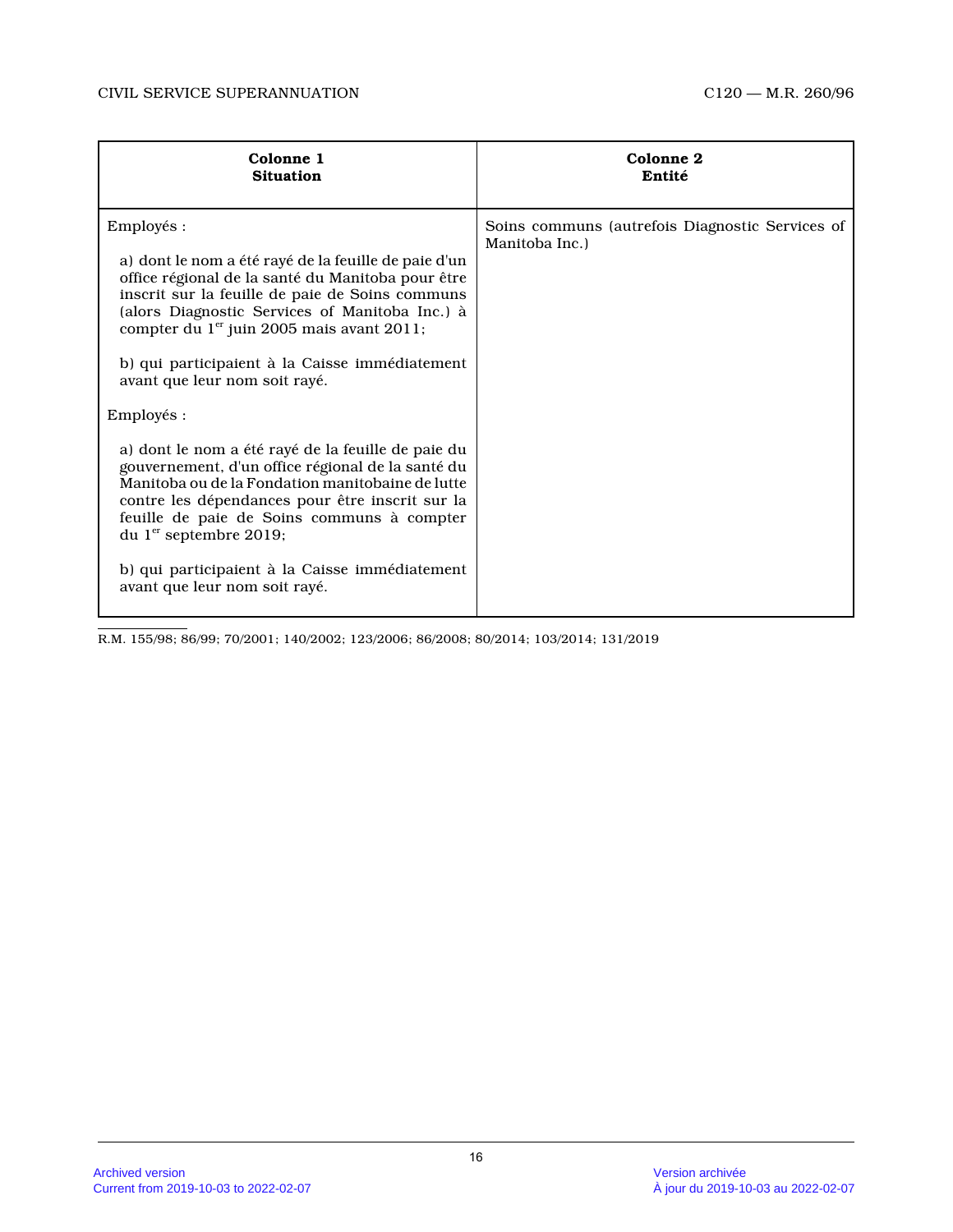| Colonne 1                                                                                                                                                                                                                                                                                                                                                                                                                                                                                                                                                                                                                                                                                                                                                                       | Colonne 2                                                         |
|---------------------------------------------------------------------------------------------------------------------------------------------------------------------------------------------------------------------------------------------------------------------------------------------------------------------------------------------------------------------------------------------------------------------------------------------------------------------------------------------------------------------------------------------------------------------------------------------------------------------------------------------------------------------------------------------------------------------------------------------------------------------------------|-------------------------------------------------------------------|
| <b>Situation</b>                                                                                                                                                                                                                                                                                                                                                                                                                                                                                                                                                                                                                                                                                                                                                                | Entité                                                            |
| Employés :<br>a) dont le nom a été rayé de la feuille de paie d'un<br>office régional de la santé du Manitoba pour être<br>inscrit sur la feuille de paie de Soins communs<br>(alors Diagnostic Services of Manitoba Inc.) à<br>compter du 1 <sup>er</sup> juin 2005 mais avant 2011;<br>b) qui participaient à la Caisse immédiatement<br>avant que leur nom soit rayé.<br>Employés :<br>a) dont le nom a été rayé de la feuille de paie du<br>gouvernement, d'un office régional de la santé du<br>Manitoba ou de la Fondation manitobaine de lutte<br>contre les dépendances pour être inscrit sur la<br>feuille de paie de Soins communs à compter<br>du 1 <sup>er</sup> septembre 2019;<br>b) qui participaient à la Caisse immédiatement<br>avant que leur nom soit rayé. | Soins communs (autrefois Diagnostic Services of<br>Manitoba Inc.) |

R.M. 155/98; 86/99; 70/2001; 140/2002; 123/2006; 86/2008; 80/2014; 103/2014; 131/2019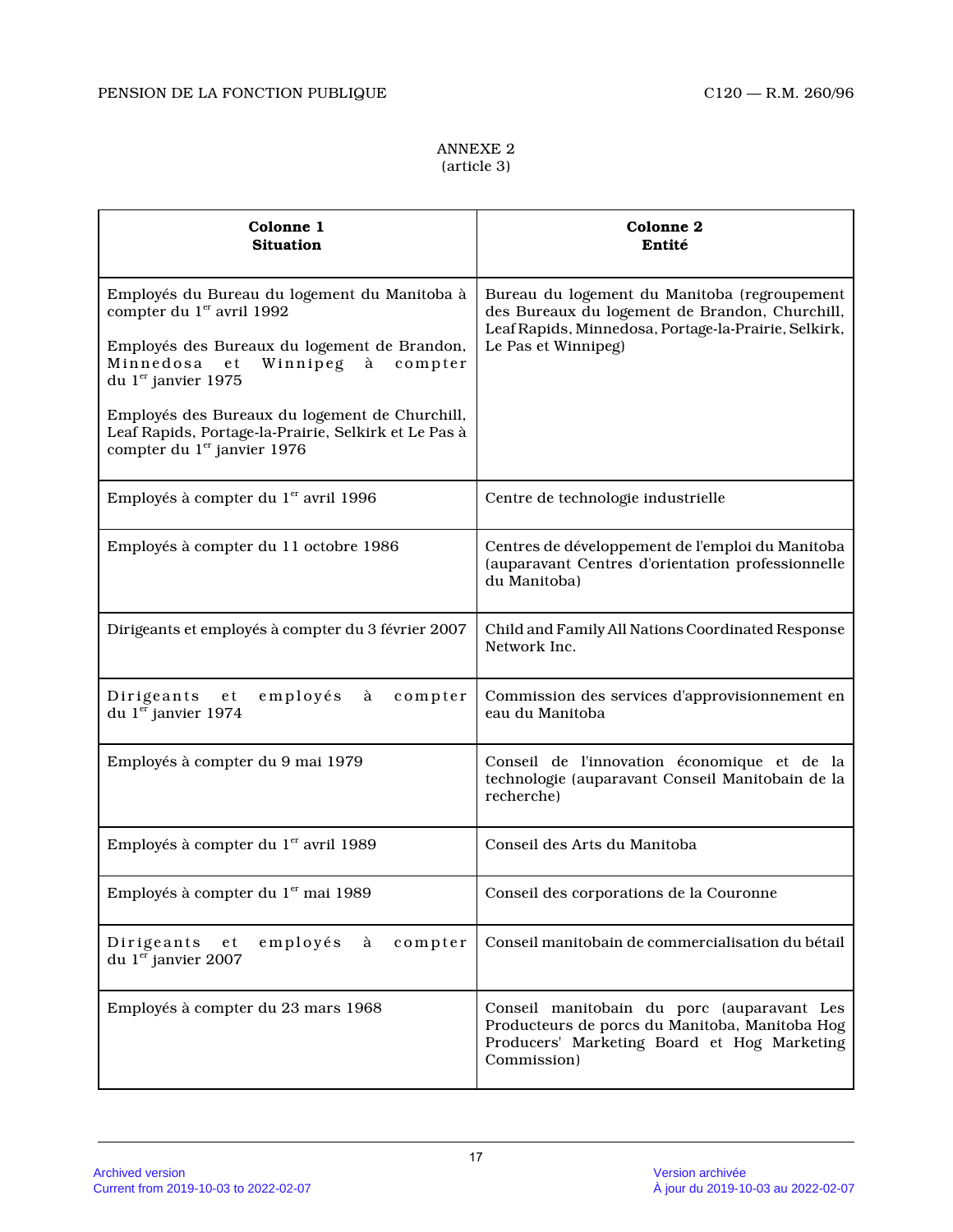## ANNEXE 2 (article 3)

| Colonne 1<br><b>Situation</b>                                                                                                                                                        | Colonne 2<br>Entité                                                                                                                                                           |
|--------------------------------------------------------------------------------------------------------------------------------------------------------------------------------------|-------------------------------------------------------------------------------------------------------------------------------------------------------------------------------|
| Employés du Bureau du logement du Manitoba à<br>compter du 1er avril 1992<br>Employés des Bureaux du logement de Brandon,<br>Minnedosa<br>e t<br>Winnipeg à compter                  | Bureau du logement du Manitoba (regroupement<br>des Bureaux du logement de Brandon, Churchill,<br>Leaf Rapids, Minnedosa, Portage-la-Prairie, Selkirk,<br>Le Pas et Winnipeg) |
| du 1 <sup>er</sup> janvier 1975<br>Employés des Bureaux du logement de Churchill,<br>Leaf Rapids, Portage-la-Prairie, Selkirk et Le Pas à<br>compter du 1 <sup>er</sup> janvier 1976 |                                                                                                                                                                               |
| Employés à compter du 1 <sup>er</sup> avril 1996                                                                                                                                     | Centre de technologie industrielle                                                                                                                                            |
| Employés à compter du 11 octobre 1986                                                                                                                                                | Centres de développement de l'emploi du Manitoba<br>(auparavant Centres d'orientation professionnelle<br>du Manitoba)                                                         |
| Dirigeants et employés à compter du 3 février 2007                                                                                                                                   | Child and Family All Nations Coordinated Response<br>Network Inc.                                                                                                             |
| employés<br>Dirigeants et<br>à<br>compter<br>du 1 <sup>er</sup> janvier 1974                                                                                                         | Commission des services d'approvisionnement en<br>eau du Manitoba                                                                                                             |
| Employés à compter du 9 mai 1979                                                                                                                                                     | Conseil de l'innovation économique et de la<br>technologie (auparavant Conseil Manitobain de la<br>recherche)                                                                 |
| Employés à compter du 1er avril 1989                                                                                                                                                 | Conseil des Arts du Manitoba                                                                                                                                                  |
| Employés à compter du 1 <sup>er</sup> mai 1989                                                                                                                                       | Conseil des corporations de la Couronne                                                                                                                                       |
| employés<br>Dirigeants<br>à<br>compter<br>e t<br>du 1er janvier 2007                                                                                                                 | Conseil manitobain de commercialisation du bétail                                                                                                                             |
| Employés à compter du 23 mars 1968                                                                                                                                                   | Conseil manitobain du porc (auparavant Les<br>Producteurs de porcs du Manitoba, Manitoba Hog<br>Producers' Marketing Board et Hog Marketing<br>Commission)                    |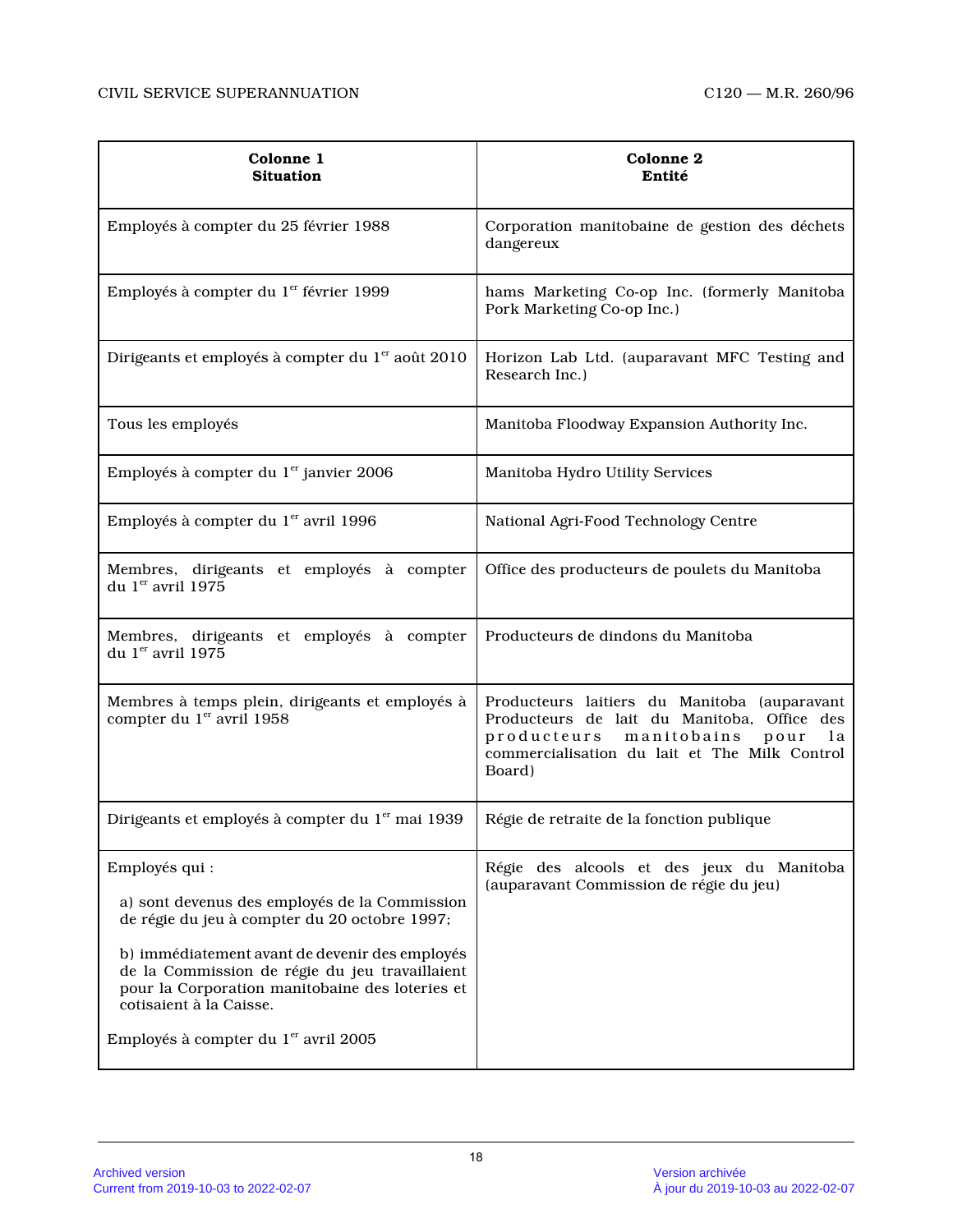| Colonne 1<br><b>Situation</b>                                                                                                                                                                                                                                                                                                                          | Colonne 2<br>Entité                                                                                                                                                                                 |
|--------------------------------------------------------------------------------------------------------------------------------------------------------------------------------------------------------------------------------------------------------------------------------------------------------------------------------------------------------|-----------------------------------------------------------------------------------------------------------------------------------------------------------------------------------------------------|
| Employés à compter du 25 février 1988                                                                                                                                                                                                                                                                                                                  | Corporation manitobaine de gestion des déchets<br>dangereux                                                                                                                                         |
| Employés à compter du 1 <sup>er</sup> février 1999                                                                                                                                                                                                                                                                                                     | hams Marketing Co-op Inc. (formerly Manitoba<br>Pork Marketing Co-op Inc.)                                                                                                                          |
| Dirigeants et employés à compter du 1 <sup>er</sup> août 2010                                                                                                                                                                                                                                                                                          | Horizon Lab Ltd. (auparavant MFC Testing and<br>Research Inc.)                                                                                                                                      |
| Tous les employés                                                                                                                                                                                                                                                                                                                                      | Manitoba Floodway Expansion Authority Inc.                                                                                                                                                          |
| Employés à compter du 1 <sup>er</sup> janvier 2006                                                                                                                                                                                                                                                                                                     | Manitoba Hydro Utility Services                                                                                                                                                                     |
| Employés à compter du 1 <sup>er</sup> avril 1996                                                                                                                                                                                                                                                                                                       | National Agri-Food Technology Centre                                                                                                                                                                |
| Membres, dirigeants et employés à compter<br>du 1 <sup>er</sup> avril 1975                                                                                                                                                                                                                                                                             | Office des producteurs de poulets du Manitoba                                                                                                                                                       |
| Membres, dirigeants et employés à compter<br>du 1er avril 1975                                                                                                                                                                                                                                                                                         | Producteurs de dindons du Manitoba                                                                                                                                                                  |
| Membres à temps plein, dirigeants et employés à<br>compter du 1er avril 1958                                                                                                                                                                                                                                                                           | Producteurs laitiers du Manitoba (auparavant<br>Producteurs de lait du Manitoba, Office des<br>producteurs<br>manitobains<br>pour<br>l a<br>commercialisation du lait et The Milk Control<br>Board) |
| Dirigeants et employés à compter du 1 <sup>er</sup> mai 1939                                                                                                                                                                                                                                                                                           | Régie de retraite de la fonction publique                                                                                                                                                           |
| Employés qui :<br>a) sont devenus des employés de la Commission<br>de régie du jeu à compter du 20 octobre 1997;<br>b) immédiatement avant de devenir des employés<br>de la Commission de régie du jeu travaillaient<br>pour la Corporation manitobaine des loteries et<br>cotisaient à la Caisse.<br>Employés à compter du 1 <sup>er</sup> avril 2005 | Régie des alcools et des jeux du Manitoba<br>(auparavant Commission de régie du jeu)                                                                                                                |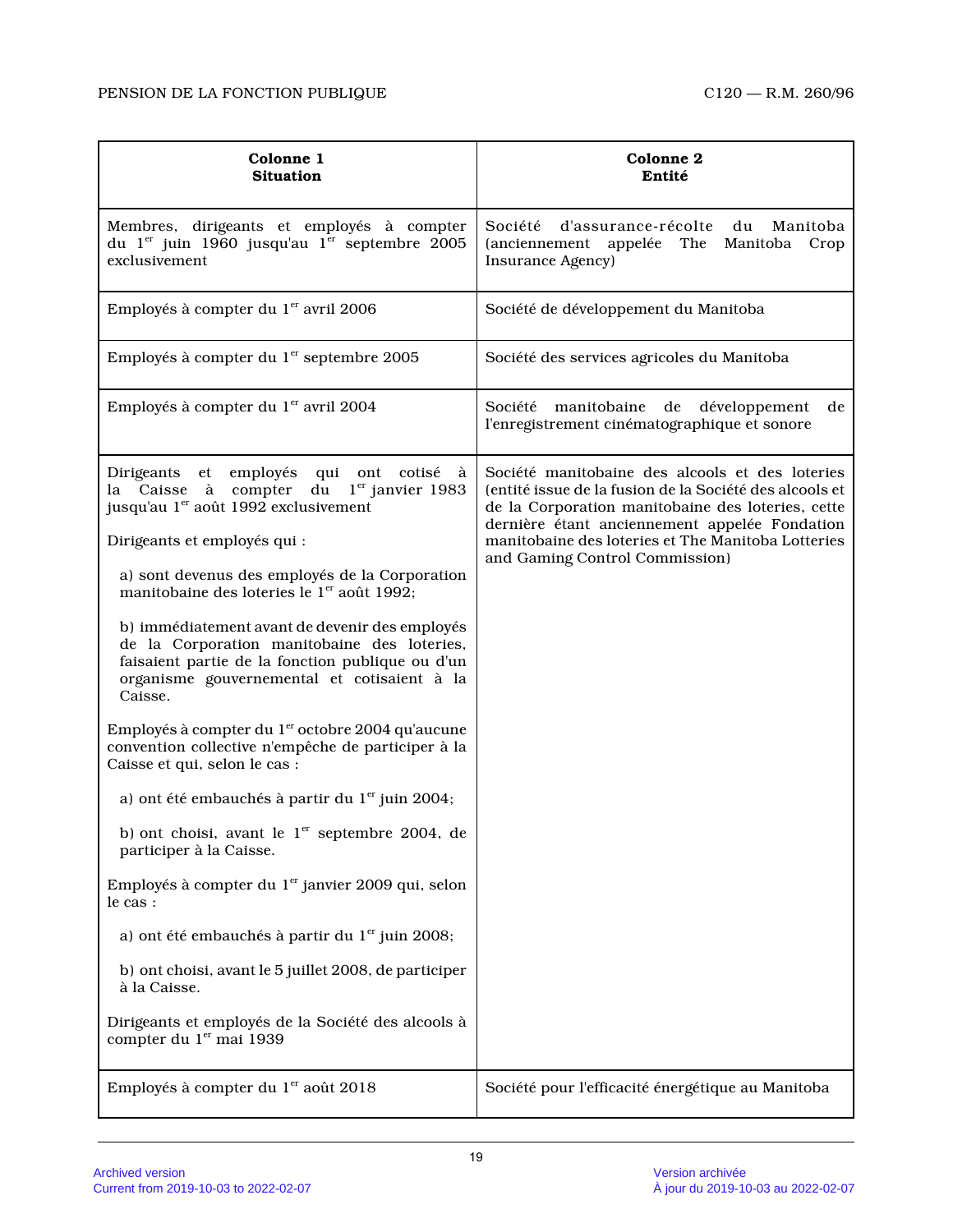| Colonne 1<br><b>Situation</b>                                                                                                                                                                                                                                                                                                                                                                                                                                                                                                                                                                                                                                                                                                                                                                                                                                                                                                                                                                                                                                                                                        | Colonne 2<br>Entité                                                                                                                                                                                                                                                                                      |
|----------------------------------------------------------------------------------------------------------------------------------------------------------------------------------------------------------------------------------------------------------------------------------------------------------------------------------------------------------------------------------------------------------------------------------------------------------------------------------------------------------------------------------------------------------------------------------------------------------------------------------------------------------------------------------------------------------------------------------------------------------------------------------------------------------------------------------------------------------------------------------------------------------------------------------------------------------------------------------------------------------------------------------------------------------------------------------------------------------------------|----------------------------------------------------------------------------------------------------------------------------------------------------------------------------------------------------------------------------------------------------------------------------------------------------------|
| Membres, dirigeants et employés à compter<br>du 1 <sup>er</sup> juin 1960 jusqu'au 1 <sup>er</sup> septembre 2005<br>exclusivement                                                                                                                                                                                                                                                                                                                                                                                                                                                                                                                                                                                                                                                                                                                                                                                                                                                                                                                                                                                   | d'assurance-récolte du<br>Société<br>Manitoba<br>(anciennement appelée The Manitoba Crop<br>Insurance Agency)                                                                                                                                                                                            |
| Employés à compter du 1 <sup>er</sup> avril 2006                                                                                                                                                                                                                                                                                                                                                                                                                                                                                                                                                                                                                                                                                                                                                                                                                                                                                                                                                                                                                                                                     | Société de développement du Manitoba                                                                                                                                                                                                                                                                     |
| Employés à compter du 1 <sup>er</sup> septembre 2005                                                                                                                                                                                                                                                                                                                                                                                                                                                                                                                                                                                                                                                                                                                                                                                                                                                                                                                                                                                                                                                                 | Société des services agricoles du Manitoba                                                                                                                                                                                                                                                               |
| Employés à compter du 1 <sup>er</sup> avril 2004                                                                                                                                                                                                                                                                                                                                                                                                                                                                                                                                                                                                                                                                                                                                                                                                                                                                                                                                                                                                                                                                     | Société manitobaine de<br>développement<br>de<br>l'enregistrement cinématographique et sonore                                                                                                                                                                                                            |
| Dirigeants et employés qui ont cotisé<br>à<br>Caisse à compter du l <sup>er</sup> janvier 1983<br>la<br>jusqu'au 1 <sup>er</sup> août 1992 exclusivement<br>Dirigeants et employés qui :<br>a) sont devenus des employés de la Corporation<br>manitobaine des loteries le 1 <sup>er</sup> août 1992;<br>b) immédiatement avant de devenir des employés<br>de la Corporation manitobaine des loteries,<br>faisaient partie de la fonction publique ou d'un<br>organisme gouvernemental et cotisaient à la<br>Caisse.<br>Employés à compter du 1 <sup>er</sup> octobre 2004 qu'aucune<br>convention collective n'empêche de participer à la<br>Caisse et qui, selon le cas :<br>a) ont été embauchés à partir du $1er$ juin 2004;<br>b) ont choisi, avant le 1 <sup>er</sup> septembre 2004, de<br>participer à la Caisse.<br>Employés à compter du 1 <sup>er</sup> janvier 2009 qui, selon<br>le cas :<br>a) ont été embauchés à partir du $1er$ juin 2008;<br>b) ont choisi, avant le 5 juillet 2008, de participer<br>à la Caisse.<br>Dirigeants et employés de la Société des alcools à<br>compter du 1er mai 1939 | Société manitobaine des alcools et des loteries<br>(entité issue de la fusion de la Société des alcools et<br>de la Corporation manitobaine des loteries, cette<br>dernière étant anciennement appelée Fondation<br>manitobaine des loteries et The Manitoba Lotteries<br>and Gaming Control Commission) |
| Employés à compter du 1 <sup>er</sup> août 2018                                                                                                                                                                                                                                                                                                                                                                                                                                                                                                                                                                                                                                                                                                                                                                                                                                                                                                                                                                                                                                                                      | Société pour l'efficacité énergétique au Manitoba                                                                                                                                                                                                                                                        |